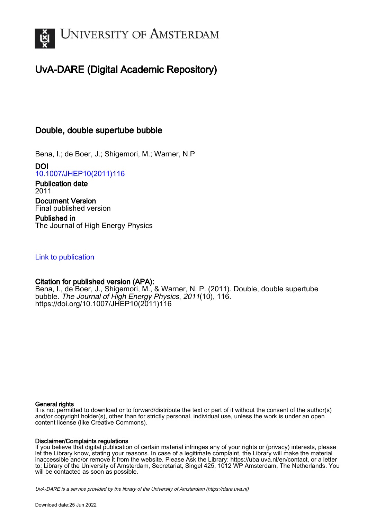

# UvA-DARE (Digital Academic Repository)

# Double, double supertube bubble

Bena, I.; de Boer, J.; Shigemori, M.; Warner, N.P

DOI [10.1007/JHEP10\(2011\)116](https://doi.org/10.1007/JHEP10(2011)116)

Publication date 2011 Document Version Final published version

Published in The Journal of High Energy Physics

# [Link to publication](https://dare.uva.nl/personal/pure/en/publications/double-double-supertube-bubble(39facc44-c958-4271-b22c-64a27305c80b).html)

# Citation for published version (APA):

Bena, I., de Boer, J., Shigemori, M., & Warner, N. P. (2011). Double, double supertube bubble. The Journal of High Energy Physics, 2011(10), 116. [https://doi.org/10.1007/JHEP10\(2011\)116](https://doi.org/10.1007/JHEP10(2011)116)

## General rights

It is not permitted to download or to forward/distribute the text or part of it without the consent of the author(s) and/or copyright holder(s), other than for strictly personal, individual use, unless the work is under an open content license (like Creative Commons).

## Disclaimer/Complaints regulations

If you believe that digital publication of certain material infringes any of your rights or (privacy) interests, please let the Library know, stating your reasons. In case of a legitimate complaint, the Library will make the material inaccessible and/or remove it from the website. Please Ask the Library: https://uba.uva.nl/en/contact, or a letter to: Library of the University of Amsterdam, Secretariat, Singel 425, 1012 WP Amsterdam, The Netherlands. You will be contacted as soon as possible.

UvA-DARE is a service provided by the library of the University of Amsterdam (http*s*://dare.uva.nl)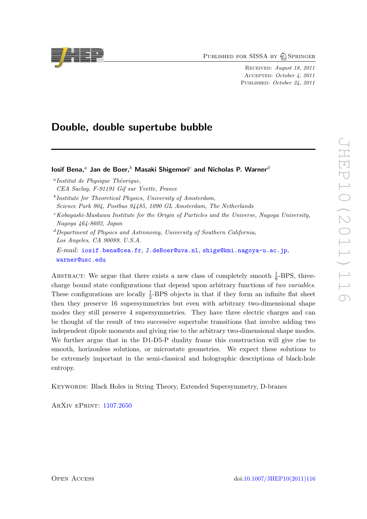PUBLISHED FOR SISSA BY 2 SPRINGER

Received: August 18, 2011 Accepted: October 4, 2011 PUBLISHED: October 24, 2011

# Double, double supertube bubble

losif Bena,<sup>a</sup> Jan de Boer,<sup>b</sup> Masaki Shigemori<sup>c</sup> and Nicholas P. Warner<sup>d</sup>

 $c Kobayashi-Maskawa Institute for the Origin of Particles and the Universe, Nagoya University,$ Nagoya 464-8602, Japan

 ${}^d$ Department of Physics and Astronomy, University of Southern California, Los Angeles, CA 90089, U.S.A.  $E-mail:$  [iosif.bena@cea.fr](mailto:iosif.bena@cea.fr), [J.deBoer@uva.nl](mailto:J.deBoer@uva.nl), [shige@kmi.nagoya-u.ac.jp](mailto:shige@kmi.nagoya-u.ac.jp), [warner@usc.edu](mailto:warner@usc.edu)

ABSTRACT: We argue that there exists a new class of completely smooth  $\frac{1}{8}$ -BPS, threecharge bound state configurations that depend upon arbitrary functions of two variables. These configurations are locally  $\frac{1}{2}$ -BPS objects in that if they form an infinite flat sheet then they preserve 16 supersymmetries but even with arbitrary two-dimensional shape modes they still preserve 4 supersymmetries. They have three electric charges and can be thought of the result of two successive supertube transitions that involve adding two independent dipole moments and giving rise to the arbitrary two-dimensional shape modes. We further argue that in the D1-D5-P duality frame this construction will give rise to smooth, horizonless solutions, or microstate geometries. We expect these solutions to be extremely important in the semi-classical and holographic descriptions of black-hole entropy.

Keywords: Black Holes in String Theory, Extended Supersymmetry, D-branes

ArXiv ePrint: [1107.2650](http://arxiv.org/abs/1107.2650)



 $a$ Institut de Physique Théorique,

CEA Saclay, F-91191 Gif sur Yvette, France

<sup>&</sup>lt;sup>b</sup>Institute for Theoretical Physics, University of Amsterdam,

Science Park 904, Postbus 94485, 1090 GL Amsterdam, The Netherlands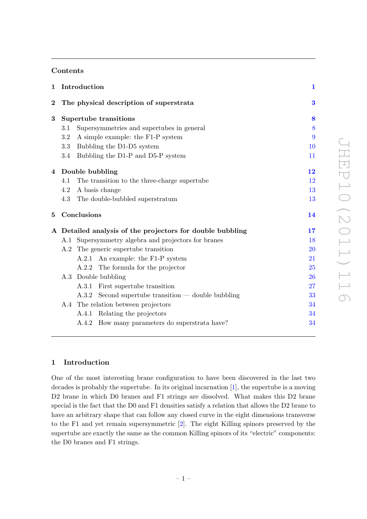## Contents

| $\mathbf 1$ |     | Introduction                                              | $\mathbf 1$ |
|-------------|-----|-----------------------------------------------------------|-------------|
| $\bf{2}$    |     | The physical description of superstrata                   | $\bf{3}$    |
| 3           |     | Supertube transitions                                     |             |
|             | 3.1 | Supersymmetries and supertubes in general                 | 8           |
|             | 3.2 | A simple example: the F1-P system                         | 9           |
|             | 3.3 | Bubbling the D1-D5 system                                 | 10          |
|             | 3.4 | Bubbling the D1-P and D5-P system                         | 11          |
| 4           |     | Double bubbling                                           | 12          |
|             | 4.1 | The transition to the three-charge supertube              | 12          |
|             | 4.2 | A basis change                                            | 13          |
|             | 4.3 | The double-bubbled superstratum                           | 13          |
| 5           |     | Conclusions                                               | 14          |
|             |     | A Detailed analysis of the projectors for double bubbling | 17          |
|             |     | A.1 Supersymmetry algebra and projectors for branes       | 18          |
|             |     | A.2 The generic supertube transition                      | <b>20</b>   |
|             |     | A.2.1 An example: the F1-P system                         | 21          |
|             |     | A.2.2 The formula for the projector                       | 25          |
|             | A.3 | Double bubbling                                           | 26          |
|             |     | A.3.1 First supertube transition                          | 27          |
|             |     | $A.3.2$ Second supertube transition — double bubbling     | 33          |
|             |     | A.4 The relation between projectors                       | 34          |
|             |     |                                                           |             |
|             |     | A.4.1 Relating the projectors                             | 34          |
|             |     | A.4.2 How many parameters do superstrata have?            | 34          |

## <span id="page-2-0"></span>1 Introduction

One of the most interesting brane configuration to have been discovered in the last two decades is probably the supertube. In its original incarnation [\[1\]](#page-36-0), the supertube is a moving D2 brane in which D0 branes and F1 strings are dissolved. What makes this D2 brane special is the fact that the D0 and F1 densities satisfy a relation that allows the D2 brane to have an arbitrary shape that can follow any closed curve in the eight dimensions transverse to the F1 and yet remain supersymmetric [\[2\]](#page-36-1). The eight Killing spinors preserved by the supertube are exactly the same as the common Killing spinors of its "electric" components: the D0 branes and F1 strings.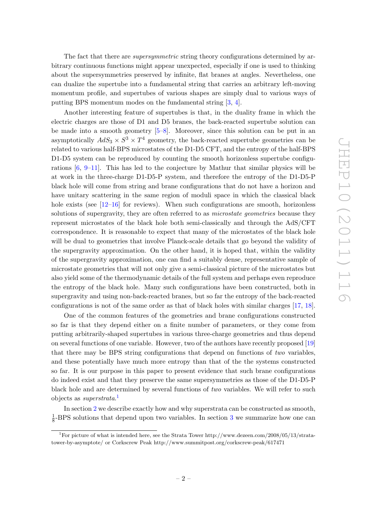The fact that there are *supersymmetric* string theory configurations determined by arbitrary continuous functions might appear unexpected, especially if one is used to thinking about the supersymmetries preserved by infinite, flat branes at angles. Nevertheless, one can dualize the supertube into a fundamental string that carries an arbitrary left-moving momentum profile, and supertubes of various shapes are simply dual to various ways of putting BPS momentum modes on the fundamental string [\[3,](#page-36-2) [4\]](#page-36-3).

Another interesting feature of supertubes is that, in the duality frame in which the electric charges are those of D1 and D5 branes, the back-reacted supertube solution can be made into a smooth geometry [\[5–](#page-36-4)[8\]](#page-36-5). Moreover, since this solution can be put in an asymptotically  $AdS_3 \times S^3 \times T^4$  geometry, the back-reacted supertube geometries can be related to various half-BPS microstates of the D1-D5 CFT, and the entropy of the half-BPS D1-D5 system can be reproduced by counting the smooth horizonless supertube configurations  $[6, 9-11]$  $[6, 9-11]$ . This has led to the conjecture by Mathur that similar physics will be at work in the three-charge D1-D5-P system, and therefore the entropy of the D1-D5-P black hole will come from string and brane configurations that do not have a horizon and have unitary scattering in the same region of moduli space in which the classical black hole exists (see  $[12-16]$  $[12-16]$  for reviews). When such configurations are smooth, horizonless solutions of supergravity, they are often referred to as *microstate geometries* because they represent microstates of the black hole both semi-classically and through the AdS/CFT correspondence. It is reasonable to expect that many of the microstates of the black hole will be dual to geometries that involve Planck-scale details that go beyond the validity of the supergravity approximation. On the other hand, it is hoped that, within the validity of the supergravity approximation, one can find a suitably dense, representative sample of microstate geometries that will not only give a semi-classical picture of the microstates but also yield some of the thermodynamic details of the full system and perhaps even reproduce the entropy of the black hole. Many such configurations have been constructed, both in supergravity and using non-back-reacted branes, but so far the entropy of the back-reacted configurations is not of the same order as that of black holes with similar charges [\[17,](#page-36-11) [18\]](#page-36-12).

One of the common features of the geometries and brane configurations constructed so far is that they depend either on a finite number of parameters, or they come from putting arbitrarily-shaped supertubes in various three-charge geometries and thus depend on several functions of one variable. However, two of the authors have recently proposed [\[19\]](#page-37-0) that there may be BPS string configurations that depend on functions of two variables, and these potentially have much more entropy than that of the the systems constructed so far. It is our purpose in this paper to present evidence that such brane configurations do indeed exist and that they preserve the same supersymmetries as those of the D1-D5-P black hole and are determined by several functions of two variables. We will refer to such objects as *superstrata*.<sup>[1](#page-3-0)</sup>

In section [2](#page-4-0) we describe exactly how and why superstrata can be constructed as smooth, 1  $\frac{1}{8}$ -BPS solutions that depend upon two variables. In section [3](#page-9-0) we summarize how one can

<span id="page-3-0"></span><sup>1</sup>For picture of what is intended here, see the Strata Tower http://www.dezeen.com/2008/05/13/stratatower-by-asymptote/ or Corkscrew Peak http://www.summitpost.org/corkscrew-peak/617471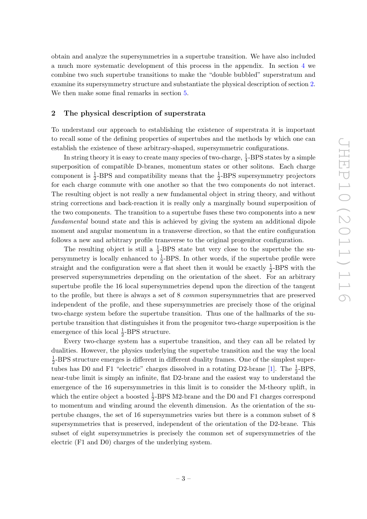obtain and analyze the supersymmetries in a supertube transition. We have also included a much more systematic development of this process in the appendix. In section [4](#page-13-0) we combine two such supertube transitions to make the "double bubbled" superstratum and examine its supersymmetry structure and substantiate the physical description of section [2.](#page-4-0) We then make some final remarks in section [5.](#page-15-0)

## <span id="page-4-0"></span>2 The physical description of superstrata

To understand our approach to establishing the existence of superstrata it is important to recall some of the defining properties of supertubes and the methods by which one can establish the existence of these arbitrary-shaped, supersymmetric configurations.

In string theory it is easy to create many species of two-charge,  $\frac{1}{4}$ -BPS states by a simple superposition of compatible D-branes, momentum states or other solitons. Each charge component is  $\frac{1}{2}$ -BPS and compatibility means that the  $\frac{1}{2}$ -BPS supersymmetry projectors for each charge commute with one another so that the two components do not interact. The resulting object is not really a new fundamental object in string theory, and without string corrections and back-reaction it is really only a marginally bound superposition of the two components. The transition to a supertube fuses these two components into a new fundamental bound state and this is achieved by giving the system an additional dipole moment and angular momentum in a transverse direction, so that the entire configuration follows a new and arbitrary profile transverse to the original progenitor configuration.

The resulting object is still a  $\frac{1}{4}$ -BPS state but very close to the supertube the supersymmetry is locally enhanced to  $\frac{1}{2}$ -BPS. In other words, if the supertube profile were straight and the configuration were a flat sheet then it would be exactly  $\frac{1}{2}$ -BPS with the preserved supersymmetries depending on the orientation of the sheet. For an arbitrary supertube profile the 16 local supersymmetries depend upon the direction of the tangent to the profile, but there is always a set of 8 common supersymmetries that are preserved independent of the profile, and these supersymmetries are precisely those of the original two-charge system before the supertube transition. Thus one of the hallmarks of the supertube transition that distinguishes it from the progenitor two-charge superposition is the emergence of this local  $\frac{1}{2}$ -BPS structure.

Every two-charge system has a supertube transition, and they can all be related by dualities. However, the physics underlying the supertube transition and the way the local 1  $\frac{1}{2}$ -BPS structure emerges is different in different duality frames. One of the simplest super-tubes has D0 and F1 "electric" charges dissolved in a rotating D2-brane [\[1\]](#page-36-0). The  $\frac{1}{2}$ -BPS, near-tube limit is simply an infinite, flat D2-brane and the easiest way to understand the emergence of the 16 supersymmetries in this limit is to consider the M-theory uplift, in which the entire object a boosted  $\frac{1}{2}$ -BPS M2-brane and the D0 and F1 charges correspond to momentum and winding around the eleventh dimension. As the orientation of the supertube changes, the set of 16 supersymmetries varies but there is a common subset of 8 supersymmetries that is preserved, independent of the orientation of the D2-brane. This subset of eight supersymmetries is precisely the common set of supersymmetries of the electric (F1 and D0) charges of the underlying system.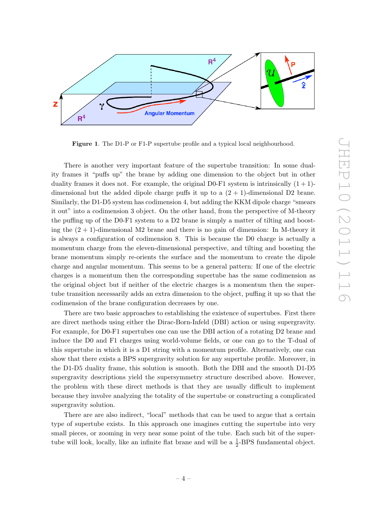

<span id="page-5-0"></span>Figure 1. The D1-P or F1-P supertube profile and a typical local neighbourhood.

There is another very important feature of the supertube transition: In some duality frames it "puffs up" the brane by adding one dimension to the object but in other duality frames it does not. For example, the original D0-F1 system is intrinsically  $(1 + 1)$ dimensional but the added dipole charge puffs it up to a  $(2 + 1)$ -dimensional D2 brane. Similarly, the D1-D5 system has codimension 4, but adding the KKM dipole charge "smears it out" into a codimension 3 object. On the other hand, from the perspective of M-theory the puffing up of the D0-F1 system to a D2 brane is simply a matter of tilting and boosting the  $(2 + 1)$ -dimensional M2 brane and there is no gain of dimension: In M-theory it is always a configuration of codimension 8. This is because the D0 charge is actually a momentum charge from the eleven-dimensional perspective, and tilting and boosting the brane momentum simply re-orients the surface and the momentum to create the dipole charge and angular momentum. This seems to be a general pattern: If one of the electric charges is a momentum then the corresponding supertube has the same codimension as the original object but if neither of the electric charges is a momentum then the supertube transition necessarily adds an extra dimension to the object, puffing it up so that the codimension of the brane configuration decreases by one.

There are two basic approaches to establishing the existence of supertubes. First there are direct methods using either the Dirac-Born-Infeld (DBI) action or using supergravity. For example, for D0-F1 supertubes one can use the DBI action of a rotating D2 brane and induce the D0 and F1 charges using world-volume fields, or one can go to the T-dual of this supertube in which it is a D1 string with a momentum profile. Alternatively, one can show that there exists a BPS supergravity solution for any supertube profile. Moreover, in the D1-D5 duality frame, this solution is smooth. Both the DBI and the smooth D1-D5 supergravity descriptions yield the supersymmetry structure described above. However, the problem with these direct methods is that they are usually difficult to implement because they involve analyzing the totality of the supertube or constructing a complicated supergravity solution.

There are are also indirect, "local" methods that can be used to argue that a certain type of supertube exists. In this approach one imagines cutting the supertube into very small pieces, or zooming in very near some point of the tube. Each such bit of the supertube will look, locally, like an infinite flat brane and will be a  $\frac{1}{2}$ -BPS fundamental object.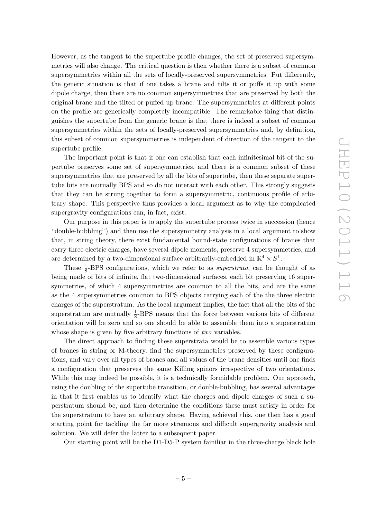However, as the tangent to the supertube profile changes, the set of preserved supersymmetries will also change. The critical question is then whether there is a subset of common supersymmetries within all the sets of locally-preserved supersymmetries. Put differently, the generic situation is that if one takes a brane and tilts it or puffs it up with some dipole charge, then there are no common supersymmetries that are preserved by both the original brane and the tilted or puffed up brane: The supersymmetries at different points on the profile are generically completely incompatible. The remarkable thing that distinguishes the supertube from the generic brane is that there is indeed a subset of common supersymmetries within the sets of locally-preserved supersymmetries and, by definition, this subset of common supersymmetries is independent of direction of the tangent to the supertube profile.

The important point is that if one can establish that each infinitesimal bit of the supertube preserves some set of supersymmetries, and there is a common subset of these supersymmetries that are preserved by all the bits of supertube, then these separate supertube bits are mutually BPS and so do not interact with each other. This strongly suggests that they can be strung together to form a supersymmetric, continuous profile of arbitrary shape. This perspective thus provides a local argument as to why the complicated supergravity configurations can, in fact, exist.

Our purpose in this paper is to apply the supertube process twice in succession (hence "double-bubbling") and then use the supersymmetry analysis in a local argument to show that, in string theory, there exist fundamental bound-state configurations of branes that carry three electric charges, have several dipole moments, preserve 4 supersymmetries, and are determined by a two-dimensional surface arbitrarily-embedded in  $\mathbb{R}^4 \times S^1$ .

These  $\frac{1}{8}$ -BPS configurations, which we refer to as *superstrata*, can be thought of as being made of bits of infinite, flat two-dimensional surfaces, each bit preserving 16 supersymmetries, of which 4 supersymmetries are common to all the bits, and are the same as the 4 supersymmetries common to BPS objects carrying each of the the three electric charges of the superstratum. As the local argument implies, the fact that all the bits of the superstratum are mutually  $\frac{1}{8}$ -BPS means that the force between various bits of different orientation will be zero and so one should be able to assemble them into a superstratum whose shape is given by five arbitrary functions of *two* variables.

The direct approach to finding these superstrata would be to assemble various types of branes in string or M-theory, find the supersymmetries preserved by these configurations, and vary over all types of branes and all values of the brane densities until one finds a configuration that preserves the same Killing spinors irrespective of two orientations. While this may indeed be possible, it is a technically formidable problem. Our approach, using the doubling of the supertube transition, or double-bubbling, has several advantages in that it first enables us to identify what the charges and dipole charges of such a superstratum should be, and then determine the conditions these must satisfy in order for the superstratum to have an arbitrary shape. Having achieved this, one then has a good starting point for tackling the far more strenuous and difficult supergravity analysis and solution. We will defer the latter to a subsequent paper.

Our starting point will be the D1-D5-P system familiar in the three-charge black hole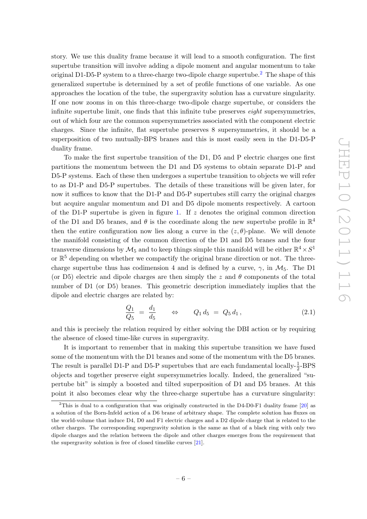story. We use this duality frame because it will lead to a smooth configuration. The first supertube transition will involve adding a dipole moment and angular momentum to take original D1-D5-P system to a three-charge two-dipole charge supertube.<sup>[2](#page-7-0)</sup> The shape of this generalized supertube is determined by a set of profile functions of one variable. As one approaches the location of the tube, the supergravity solution has a curvature singularity. If one now zooms in on this three-charge two-dipole charge supertube, or considers the infinite supertube limit, one finds that this infinite tube preserves *eight* supersymmetries, out of which four are the common supersymmetries associated with the component electric charges. Since the infinite, flat supertube preserves 8 supersymmetries, it should be a superposition of two mutually-BPS branes and this is most easily seen in the D1-D5-P duality frame.

To make the first supertube transition of the D1, D5 and P electric charges one first partitions the momentum between the D1 and D5 systems to obtain separate D1-P and D5-P systems. Each of these then undergoes a supertube transition to objects we will refer to as D1-P and D5-P supertubes. The details of these transitions will be given later, for now it suffices to know that the D1-P and D5-P supertubes still carry the original charges but acquire angular momentum and D1 and D5 dipole moments respectively. A cartoon of the D1-P supertube is given in figure [1.](#page-5-0) If  $z$  denotes the original common direction of the D1 and D5 branes, and  $\theta$  is the coordinate along the new supertube profile in  $\mathbb{R}^4$ then the entire configuration now lies along a curve in the  $(z, \theta)$ -plane. We will denote the manifold consisting of the common direction of the D1 and D5 branes and the four transverse dimensions by  $\mathcal{M}_5$  and to keep things simple this manifold will be either  $\mathbb{R}^4 \times S^1$ or  $\mathbb{R}^5$  depending on whether we compactify the original brane direction or not. The threecharge supertube thus has codimension 4 and is defined by a curve,  $\gamma$ , in  $\mathcal{M}_5$ . The D1 (or D5) electric and dipole charges are then simply the z and  $\theta$  components of the total number of D1 (or D5) branes. This geometric description immediately implies that the dipole and electric charges are related by:

$$
\frac{Q_1}{Q_5} = \frac{d_1}{d_5} \qquad \Leftrightarrow \qquad Q_1 d_5 = Q_5 d_1, \tag{2.1}
$$

and this is precisely the relation required by either solving the DBI action or by requiring the absence of closed time-like curves in supergravity.

It is important to remember that in making this supertube transition we have fused some of the momentum with the D1 branes and some of the momentum with the D5 branes. The result is parallel D1-P and D5-P supertubes that are each fundamental locally- $\frac{1}{2}$ -BPS objects and together preserve eight supersymmetries locally. Indeed, the generalized "supertube bit" is simply a boosted and tilted superposition of D1 and D5 branes. At this point it also becomes clear why the three-charge supertube has a curvature singularity:

<span id="page-7-0"></span><sup>&</sup>lt;sup>2</sup>This is dual to a configuration that was originally constructed in the D4-D0-F1 duality frame  $[20]$  as a solution of the Born-Infeld action of a D6 brane of arbitrary shape. The complete solution has fluxes on the world-volume that induce D4, D0 and F1 electric charges and a D2 dipole charge that is related to the other charges. The corresponding supergravity solution is the same as that of a black ring with only two dipole charges and the relation between the dipole and other charges emerges from the requirement that the supergravity solution is free of closed timelike curves [\[21\]](#page-37-2).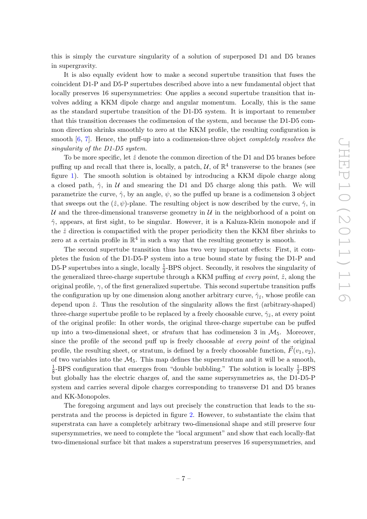this is simply the curvature singularity of a solution of superposed D1 and D5 branes in supergravity.

It is also equally evident how to make a second supertube transition that fuses the coincident D1-P and D5-P supertubes described above into a new fundamental object that locally preserves 16 supersymmetries: One applies a second supertube transition that involves adding a KKM dipole charge and angular momentum. Locally, this is the same as the standard supertube transition of the D1-D5 system. It is important to remember that this transition decreases the codimension of the system, and because the D1-D5 common direction shrinks smoothly to zero at the KKM profile, the resulting configuration is smooth [\[6,](#page-36-6) [7\]](#page-36-13). Hence, the puff-up into a codimension-three object *completely resolves the* singularity of the D1-D5 system.

To be more specific, let  $\hat{z}$  denote the common direction of the D1 and D5 branes before puffing up and recall that there is, locally, a patch,  $\mathcal{U}$ , of  $\mathbb{R}^4$  transverse to the branes (see figure [1\)](#page-5-0). The smooth solution is obtained by introducing a KKM dipole charge along a closed path,  $\hat{\gamma}$ , in U and smearing the D1 and D5 charge along this path. We will parametrize the curve,  $\hat{\gamma}$ , by an angle,  $\psi$ , so the puffed up brane is a codimension 3 object that sweeps out the  $(\hat{z}, \psi)$ -plane. The resulting object is now described by the curve,  $\hat{\gamma}$ , in U and the three-dimensional transverse geometry in  $U$  in the neighborhood of a point on  $\hat{\gamma}$ , appears, at first sight, to be singular. However, it is a Kaluza-Klein monopole and if the  $\hat{z}$  direction is compactified with the proper periodicity then the KKM fiber shrinks to zero at a certain profile in  $\mathbb{R}^4$  in such a way that the resulting geometry is smooth.

The second supertube transition thus has two very important effects: First, it completes the fusion of the D1-D5-P system into a true bound state by fusing the D1-P and D5-P supertubes into a single, locally  $\frac{1}{2}$ -BPS object. Secondly, it resolves the singularity of the generalized three-charge supertube through a KKM puffing at every point,  $\hat{z}$ , along the original profile,  $\gamma$ , of the first generalized supertube. This second supertube transition puffs the configuration up by one dimension along another arbitrary curve,  $\hat{\gamma}_z$ , whose profile can depend upon  $\hat{z}$ . Thus the resolution of the singularity allows the first (arbitrary-shaped) three-charge supertube profile to be replaced by a freely choosable curve,  $\hat{\gamma}_z$ , at every point of the original profile: In other words, the original three-charge supertube can be puffed up into a two-dimensional sheet, or *stratum* that has codimension 3 in  $M_5$ . Moreover, since the profile of the second puff up is freely choosable at every point of the original profile, the resulting sheet, or stratum, is defined by a freely choosable function,  $\vec{F}(v_1, v_2)$ , of two variables into the  $\mathcal{M}_5$ . This map defines the superstratum and it will be a smooth, 1  $\frac{1}{8}$ -BPS configuration that emerges from "double bubbling." The solution is locally  $\frac{1}{2}$ -BPS but globally has the electric charges of, and the same supersymmetries as, the D1-D5-P system and carries several dipole charges corresponding to transverse D1 and D5 branes and KK-Monopoles.

The foregoing argument and lays out precisely the construction that leads to the superstrata and the process is depicted in figure [2.](#page-9-2) However, to substantiate the claim that superstrata can have a completely arbitrary two-dimensional shape and still preserve four supersymmetries, we need to complete the "local argument" and show that each locally-flat two-dimensional surface bit that makes a superstratum preserves 16 supersymmetries, and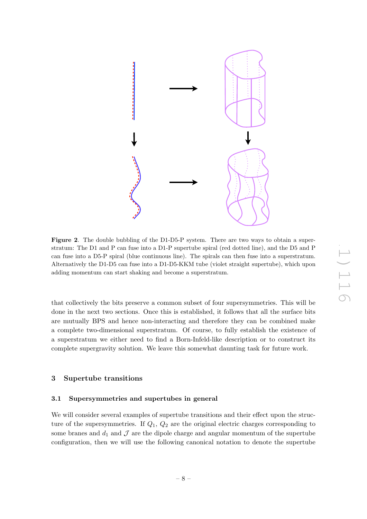

<span id="page-9-2"></span>Figure 2. The double bubbling of the D1-D5-P system. There are two ways to obtain a superstratum: The D1 and P can fuse into a D1-P supertube spiral (red dotted line), and the D5 and P can fuse into a D5-P spiral (blue continuous line). The spirals can then fuse into a superstratum. Alternatively the D1-D5 can fuse into a D1-D5-KKM tube (violet straight supertube), which upon adding momentum can start shaking and become a superstratum.

that collectively the bits preserve a common subset of four supersymmetries. This will be done in the next two sections. Once this is established, it follows that all the surface bits are mutually BPS and hence non-interacting and therefore they can be combined make a complete two-dimensional superstratum. Of course, to fully establish the existence of a superstratum we either need to find a Born-Infeld-like description or to construct its complete supergravity solution. We leave this somewhat daunting task for future work.

## <span id="page-9-0"></span>3 Supertube transitions

### <span id="page-9-1"></span>3.1 Supersymmetries and supertubes in general

We will consider several examples of supertube transitions and their effect upon the structure of the supersymmetries. If  $Q_1$ ,  $Q_2$  are the original electric charges corresponding to some branes and  $d_1$  and  $\mathcal J$  are the dipole charge and angular momentum of the supertube configuration, then we will use the following canonical notation to denote the supertube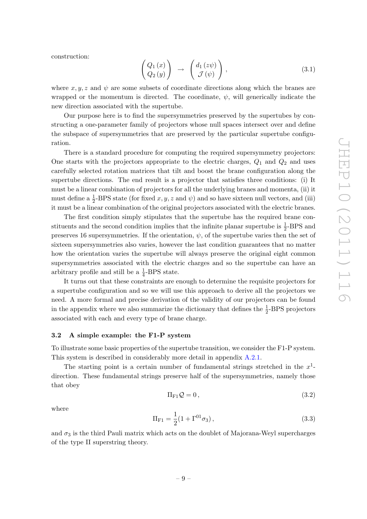construction:

$$
\begin{pmatrix}\nQ_1(x) \\
Q_2(y)\n\end{pmatrix}\n\rightarrow\n\begin{pmatrix}\nd_1(z\psi) \\
\mathcal{J}(\psi)\n\end{pmatrix},
$$
\n(3.1)

where  $x, y, z$  and  $\psi$  are some subsets of coordinate directions along which the branes are wrapped or the momentum is directed. The coordinate,  $\psi$ , will generically indicate the new direction associated with the supertube.

Our purpose here is to find the supersymmetries preserved by the supertubes by constructing a one-parameter family of projectors whose null spaces intersect over and define the subspace of supersymmetries that are preserved by the particular supertube configuration.

There is a standard procedure for computing the required supersymmetry projectors: One starts with the projectors appropriate to the electric charges,  $Q_1$  and  $Q_2$  and uses carefully selected rotation matrices that tilt and boost the brane configuration along the supertube directions. The end result is a projector that satisfies three conditions: (i) It must be a linear combination of projectors for all the underlying branes and momenta, (ii) it must define a  $\frac{1}{2}$ -BPS state (for fixed x, y, z and  $\psi$ ) and so have sixteen null vectors, and (iii) it must be a linear combination of the original projectors associated with the electric branes.

The first condition simply stipulates that the supertube has the required brane constituents and the second condition implies that the infinite planar supertube is  $\frac{1}{2}$ -BPS and preserves 16 supersymmetries. If the orientation,  $\psi$ , of the supertube varies then the set of sixteen supersymmetries also varies, however the last condition guarantees that no matter how the orientation varies the supertube will always preserve the original eight common supersymmetries associated with the electric charges and so the supertube can have an arbitrary profile and still be a  $\frac{1}{4}$ -BPS state.

It turns out that these constraints are enough to determine the requisite projectors for a supertube configuration and so we will use this approach to derive all the projectors we need. A more formal and precise derivation of the validity of our projectors can be found in the appendix where we also summarize the dictionary that defines the  $\frac{1}{2}$ -BPS projectors associated with each and every type of brane charge.

#### <span id="page-10-0"></span>3.2 A simple example: the F1-P system

To illustrate some basic properties of the supertube transition, we consider the F1-P system. This system is described in considerably more detail in appendix [A.2.1.](#page-22-0)

The starting point is a certain number of fundamental strings stretched in the  $x<sup>1</sup>$ direction. These fundamental strings preserve half of the supersymmetries, namely those that obey

$$
\Pi_{\mathcal{F}1}\mathcal{Q}=0\,,\tag{3.2}
$$

where

$$
\Pi_{\text{F1}} = \frac{1}{2} (1 + \Gamma^{01} \sigma_3), \tag{3.3}
$$

and  $\sigma_3$  is the third Pauli matrix which acts on the doublet of Majorana-Weyl supercharges of the type II superstring theory.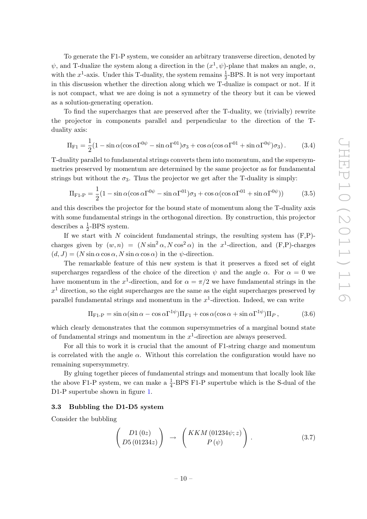To generate the F1-P system, we consider an arbitrary transverse direction, denoted by  $\psi$ , and T-dualize the system along a direction in the  $(x^1, \psi)$ -plane that makes an angle,  $\alpha$ , with the  $x^1$ -axis. Under this T-duality, the system remains  $\frac{1}{2}$ -BPS. It is not very important in this discussion whether the direction along which we T-dualize is compact or not. If it is not compact, what we are doing is not a symmetry of the theory but it can be viewed as a solution-generating operation.

To find the supercharges that are preserved after the T-duality, we (trivially) rewrite the projector in components parallel and perpendicular to the direction of the Tduality axis:

$$
\Pi_{\text{F1}} = \frac{1}{2} (1 - \sin \alpha (\cos \alpha \Gamma^{0\psi} - \sin \alpha \Gamma^{01}) \sigma_3 + \cos \alpha (\cos \alpha \Gamma^{01} + \sin \alpha \Gamma^{0\psi}) \sigma_3). \tag{3.4}
$$

T-duality parallel to fundamental strings converts them into momentum, and the supersymmetries preserved by momentum are determined by the same projector as for fundamental strings but without the  $\sigma_3$ . Thus the projector we get after the T-duality is simply:

$$
\Pi_{\text{F1-P}} = \frac{1}{2} (1 - \sin \alpha (\cos \alpha \Gamma^{0\psi} - \sin \alpha \Gamma^{01}) \sigma_3 + \cos \alpha (\cos \alpha \Gamma^{01} + \sin \alpha \Gamma^{0\psi}))
$$
(3.5)

and this describes the projector for the bound state of momentum along the T-duality axis with some fundamental strings in the orthogonal direction. By construction, this projector describes a  $\frac{1}{2}$ -BPS system.

If we start with  $N$  coincident fundamental strings, the resulting system has  $(F, P)$ charges given by  $(w, n) = (N \sin^2 \alpha, N \cos^2 \alpha)$  in the x<sup>1</sup>-direction, and  $(F, P)$ -charges  $(d, J) = (N \sin \alpha \cos \alpha, N \sin \alpha \cos \alpha)$  in the  $\psi$ -direction.

The remarkable feature of this new system is that it preserves a fixed set of eight supercharges regardless of the choice of the direction  $\psi$  and the angle  $\alpha$ . For  $\alpha = 0$  we have momentum in the x<sup>1</sup>-direction, and for  $\alpha = \pi/2$  we have fundamental strings in the  $x<sup>1</sup>$  direction, so the eight supercharges are the same as the eight supercharges preserved by parallel fundamental strings and momentum in the  $x^1$ -direction. Indeed, we can write

$$
\Pi_{\text{F1-P}} = \sin \alpha (\sin \alpha - \cos \alpha \Gamma^{1\psi}) \Pi_{F1} + \cos \alpha (\cos \alpha + \sin \alpha \Gamma^{1\psi}) \Pi_P, \tag{3.6}
$$

which clearly demonstrates that the common supersymmetries of a marginal bound state of fundamental strings and momentum in the  $x^1$ -direction are always preserved.

For all this to work it is crucial that the amount of F1-string charge and momentum is correlated with the angle  $\alpha$ . Without this correlation the configuration would have no remaining supersymmetry.

By gluing together pieces of fundamental strings and momentum that locally look like the above F1-P system, we can make a  $\frac{1}{4}$ -BPS F1-P supertube which is the S-dual of the D1-P supertube shown in figure [1.](#page-5-0)

#### <span id="page-11-0"></span>3.3 Bubbling the D1-D5 system

Consider the bubbling

<span id="page-11-1"></span>
$$
\begin{pmatrix}\nD1(0z) \\
D5(01234z)\n\end{pmatrix}\n\rightarrow\n\begin{pmatrix}\nKKM(01234\psi;z) \\
P(\psi)\n\end{pmatrix}.
$$
\n(3.7)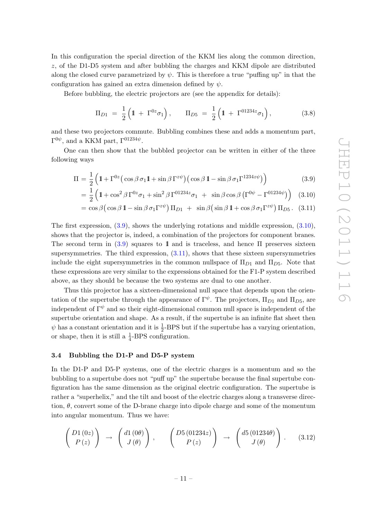In this configuration the special direction of the KKM lies along the common direction, z, of the D1-D5 system and after bubbling the charges and KKM dipole are distributed along the closed curve parametrized by  $\psi$ . This is therefore a true "puffing up" in that the configuration has gained an extra dimension defined by  $\psi$ .

Before bubbling, the electric projectors are (see the appendix for details):

<span id="page-12-2"></span>
$$
\Pi_{D1} = \frac{1}{2} \left( 1 + \Gamma^{0z} \sigma_1 \right), \qquad \Pi_{D5} = \frac{1}{2} \left( 1 + \Gamma^{01234z} \sigma_1 \right), \tag{3.8}
$$

and these two projectors commute. Bubbling combines these and adds a momentum part,  $\Gamma^{0\psi}$ , and a KKM part,  $\Gamma^{01234\psi}$ .

One can then show that the bubbled projector can be written in either of the three following ways

$$
\Pi = \frac{1}{2} \left( 1 + \Gamma^{0z} \left( \cos \beta \sigma_1 1 + \sin \beta \Gamma^{z\psi} \right) \left( \cos \beta 1 - \sin \beta \sigma_1 \Gamma^{1234z\psi} \right) \right) \tag{3.9}
$$

<span id="page-12-1"></span>
$$
= \frac{1}{2} \left( 1 + \cos^2 \beta \Gamma^{0z} \sigma_1 + \sin^2 \beta \Gamma^{01234z} \sigma_1 + \sin \beta \cos \beta \left( \Gamma^{0\psi} - \Gamma^{01234\psi} \right) \right) (3.10)
$$

$$
= \cos \beta \left( \cos \beta \, 1 - \sin \beta \, \sigma_1 \Gamma^{z\psi} \right) \Pi_{D1} \ + \ \sin \beta \left( \sin \beta \, 1 + \cos \beta \, \sigma_1 \Gamma^{z\psi} \right) \Pi_{D5}. \tag{3.11}
$$

The first expression, [\(3.9\)](#page-12-1), shows the underlying rotations and middle expression, [\(3.10\)](#page-12-1), shows that the projector is, indeed, a combination of the projectors for component branes. The second term in  $(3.9)$  squares to 1 and is traceless, and hence  $\Pi$  preserves sixteen supersymmetries. The third expression,  $(3.11)$ , shows that these sixteen supersymmetries include the eight supersymmetries in the common nullspace of  $\Pi_{D1}$  and  $\Pi_{D5}$ . Note that these expressions are very similar to the expressions obtained for the F1-P system described above, as they should be because the two systems are dual to one another.

Thus this projector has a sixteen-dimensional null space that depends upon the orientation of the supertube through the appearance of  $\Gamma^{\psi}$ . The projectors,  $\Pi_{D1}$  and  $\Pi_{D5}$ , are independent of  $\Gamma^{\psi}$  and so their eight-dimensional common null space is independent of the supertube orientation and shape. As a result, if the supertube is an infinite flat sheet then  $\psi$  has a constant orientation and it is  $\frac{1}{2}$ -BPS but if the supertube has a varying orientation, or shape, then it is still a  $\frac{1}{4}$ -BPS configuration.

## <span id="page-12-0"></span>3.4 Bubbling the D1-P and D5-P system

In the D1-P and D5-P systems, one of the electric charges is a momentum and so the bubbling to a supertube does not "puff up" the supertube because the final supertube configuration has the same dimension as the original electric configuration. The supertube is rather a "superhelix," and the tilt and boost of the electric charges along a transverse direction,  $\theta$ , convert some of the D-brane charge into dipole charge and some of the momentum into angular momentum. Thus we have:

<span id="page-12-3"></span>
$$
\begin{pmatrix}\nD1(0z) \\
P(z)\n\end{pmatrix}\n\rightarrow\n\begin{pmatrix}\nd1(0\theta) \\
J(\theta)\n\end{pmatrix},\n\qquad\n\begin{pmatrix}\nD5(01234z) \\
P(z)\n\end{pmatrix}\n\rightarrow\n\begin{pmatrix}\nd5(01234\theta) \\
J(\theta)\n\end{pmatrix}.
$$
\n(3.12)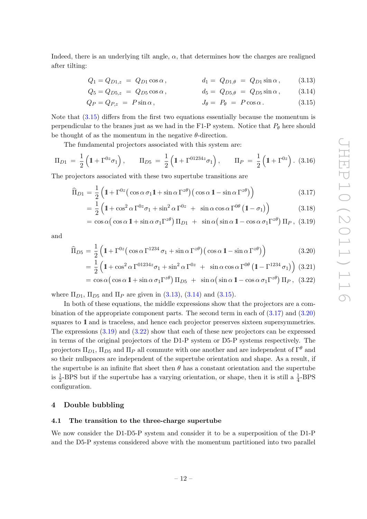Indeed, there is an underlying tilt angle,  $\alpha$ , that determines how the charges are realigned after tilting:

<span id="page-13-4"></span><span id="page-13-3"></span><span id="page-13-2"></span>
$$
Q_1 = Q_{D1,z} = Q_{D1} \cos \alpha, \qquad d_1 = Q_{D1,\theta} = Q_{D1} \sin \alpha, \qquad (3.13)
$$

$$
Q_5 = Q_{D5,z} = Q_{D5} \cos \alpha, \qquad d_5 = Q_{D5,\theta} = Q_{D5} \sin \alpha, \qquad (3.14)
$$

$$
Q_P = Q_{P,z} = P \sin \alpha, \qquad J_\theta = P_\theta = P \cos \alpha. \qquad (3.15)
$$

Note that [\(3.15\)](#page-13-2) differs from the first two equations essentially because the momentum is perpendicular to the branes just as we had in the F1-P system. Notice that  $P_{\theta}$  here should be thought of as the momentum in the negative  $\theta$ -direction.

The fundamental projectors associated with this system are:

<span id="page-13-7"></span>
$$
\Pi_{D1} = \frac{1}{2} \left( 1 + \Gamma^{0z} \sigma_1 \right), \qquad \Pi_{D5} = \frac{1}{2} \left( 1 + \Gamma^{01234z} \sigma_1 \right), \qquad \Pi_P = \frac{1}{2} \left( 1 + \Gamma^{0z} \right). \tag{3.16}
$$

The projectors associated with these two supertube transitions are

<span id="page-13-5"></span>
$$
\widehat{\Pi}_{D1} = \frac{1}{2} \left( 1 + \Gamma^{0z} \left( \cos \alpha \, \sigma_1 \mathbb{1} + \sin \alpha \, \Gamma^{z\theta} \right) \left( \cos \alpha \, \mathbb{1} - \sin \alpha \, \Gamma^{z\theta} \right) \right) \tag{3.17}
$$

$$
= \frac{1}{2} \left( 1 + \cos^2 \alpha \Gamma^{0z} \sigma_1 + \sin^2 \alpha \Gamma^{0z} + \sin \alpha \cos \alpha \Gamma^{0\theta} \left( 1 - \sigma_1 \right) \right) \tag{3.18}
$$

$$
= \cos \alpha \left( \cos \alpha \, 1 + \sin \alpha \, \sigma_1 \Gamma^{z\theta} \right) \Pi_{D1} \ + \ \sin \alpha \left( \sin \alpha \, 1 - \cos \alpha \, \sigma_1 \Gamma^{z\theta} \right) \Pi_P , \ (3.19)
$$

and

<span id="page-13-6"></span>
$$
\widehat{\Pi}_{D5} = \frac{1}{2} \left( 1 + \Gamma^{0z} \left( \cos \alpha \Gamma^{1234} \sigma_1 + \sin \alpha \Gamma^{z\theta} \right) \left( \cos \alpha \mathbf{1} - \sin \alpha \Gamma^{z\theta} \right) \right) \tag{3.20}
$$

$$
= \frac{1}{2} \left( 1 + \cos^2 \alpha \Gamma^{01234z} \sigma_1 + \sin^2 \alpha \Gamma^{0z} + \sin \alpha \cos \alpha \Gamma^{0\theta} \left( 1 - \Gamma^{1234} \sigma_1 \right) \right) (3.21)
$$

$$
= \cos \alpha \left( \cos \alpha \, 1 + \sin \alpha \, \sigma_1 \Gamma^{z\theta} \right) \Pi_{D5} \ + \ \sin \alpha \left( \sin \alpha \, 1 - \cos \alpha \, \sigma_1 \Gamma^{z\theta} \right) \Pi_P, \ (3.22)
$$

where  $\Pi_{D1}$ ,  $\Pi_{D5}$  and  $\Pi_{P}$  are given in [\(3.13\)](#page-13-3), [\(3.14\)](#page-13-4) and [\(3.15\)](#page-13-2).

In both of these equations, the middle expressions show that the projectors are a combination of the appropriate component parts. The second term in each of [\(3.17\)](#page-13-5) and [\(3.20\)](#page-13-6) squares to 1 and is traceless, and hence each projector preserves sixteen supersymmetries. The expressions [\(3.19\)](#page-13-5) and [\(3.22\)](#page-13-6) show that each of these new projectors can be expressed in terms of the original projectors of the D1-P system or D5-P systems respectively. The projectors  $\Pi_{D1}$ ,  $\Pi_{D5}$  and  $\Pi_{P}$  all commute with one another and are independent of  $\Gamma^{\theta}$  and so their nullspaces are independent of the supertube orientation and shape. As a result, if the supertube is an infinite flat sheet then  $\theta$  has a constant orientation and the supertube is  $\frac{1}{2}$ -BPS but if the supertube has a varying orientation, or shape, then it is still a  $\frac{1}{4}$ -BPS configuration.

## <span id="page-13-0"></span>4 Double bubbling

#### <span id="page-13-1"></span>4.1 The transition to the three-charge supertube

We now consider the D1-D5-P system and consider it to be a superposition of the D1-P and the D5-P systems considered above with the momentum partitioned into two parallel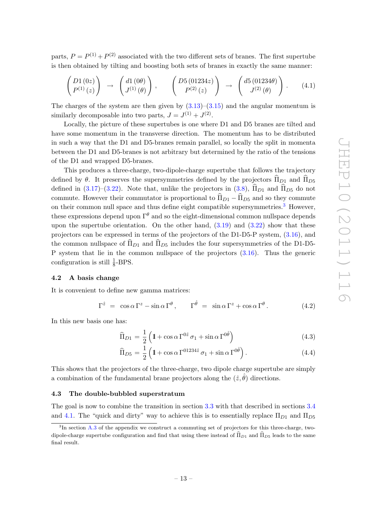parts,  $P = P^{(1)} + P^{(2)}$  associated with the two different sets of branes. The first supertube is then obtained by tilting and boosting both sets of branes in exactly the same manner:

$$
\begin{pmatrix}\nD1(0z) \\
P^{(1)}(z)\n\end{pmatrix}\n\rightarrow\n\begin{pmatrix}\nd1(0\theta) \\
J^{(1)}(\theta)\n\end{pmatrix},\n\begin{pmatrix}\nD5(01234z) \\
P^{(2)}(z)\n\end{pmatrix}\n\rightarrow\n\begin{pmatrix}\nd5(01234\theta) \\
J^{(2)}(\theta)\n\end{pmatrix}.
$$
\n(4.1)

The charges of the system are then given by  $(3.13)$ – $(3.15)$  and the angular momentum is similarly decomposable into two parts,  $J = J^{(1)} + J^{(2)}$ .

Locally, the picture of these supertubes is one where D1 and D5 branes are tilted and have some momentum in the transverse direction. The momentum has to be distributed in such a way that the D1 and D5-branes remain parallel, so locally the split in momenta between the D1 and D5-branes is not arbitrary but determined by the ratio of the tensions of the D1 and wrapped D5-branes.

This produces a three-charge, two-dipole-charge supertube that follows the trajectory defined by  $\theta$ . It preserves the supersymmetries defined by the projectors  $\widehat{\Pi}_{D1}$  and  $\widehat{\Pi}_{D5}$ defined in [\(3.17\)](#page-13-5)–[\(3.22\)](#page-13-6). Note that, unlike the projectors in [\(3.8\)](#page-12-2),  $\widehat{\Pi}_{D1}$  and  $\widehat{\Pi}_{D5}$  do not commute. However their commutator is proportional to  $\widehat{\Pi}_{D1} - \widehat{\Pi}_{D5}$  and so they commute on their common null space and thus define eight compatible supersymmetries.<sup>[3](#page-14-2)</sup> However, these expressions depend upon  $\Gamma^{\theta}$  and so the eight-dimensional common nullspace depends upon the supertube orientation. On the other hand,  $(3.19)$  and  $(3.22)$  show that these projectors can be expressed in terms of the projectors of the D1-D5-P system, [\(3.16\)](#page-13-7), and the common nullspace of  $\Pi_{D1}$  and  $\Pi_{D5}$  includes the four supersymmetries of the D1-D5-P system that lie in the common nullspace of the projectors [\(3.16\)](#page-13-7). Thus the generic configuration is still  $\frac{1}{8}$ -BPS.

#### <span id="page-14-0"></span>4.2 A basis change

It is convenient to define new gamma matrices:

$$
\Gamma^{\hat{z}} = \cos \alpha \Gamma^{z} - \sin \alpha \Gamma^{\theta}, \qquad \Gamma^{\hat{\theta}} = \sin \alpha \Gamma^{z} + \cos \alpha \Gamma^{\theta}.
$$
 (4.2)

In this new basis one has:

$$
\widehat{\Pi}_{D1} = \frac{1}{2} \left( 1 + \cos \alpha \Gamma^{0\hat{z}} \sigma_1 + \sin \alpha \Gamma^{0\hat{\theta}} \right)
$$
\n(4.3)

<span id="page-14-3"></span>
$$
\widehat{\Pi}_{D5} = \frac{1}{2} \left( 1 + \cos \alpha \Gamma^{01234\hat{z}} \sigma_1 + \sin \alpha \Gamma^{0\hat{\theta}} \right). \tag{4.4}
$$

This shows that the projectors of the three-charge, two dipole charge supertube are simply a combination of the fundamental brane projectors along the  $(\hat{z}, \hat{\theta})$  directions.

#### <span id="page-14-1"></span>4.3 The double-bubbled superstratum

The goal is now to combine the transition in section [3.3](#page-11-0) with that described in sections [3.4](#page-12-0) and [4.1.](#page-13-1) The "quick and dirty" way to achieve this is to essentially replace  $\Pi_{D1}$  and  $\Pi_{D5}$ 

<span id="page-14-2"></span><sup>&</sup>lt;sup>3</sup>In section [A.3](#page-27-0) of the appendix we construct a commuting set of projectors for this three-charge, twodipole-charge supertube configuration and find that using these instead of  $\widehat{\Pi}_{D1}$  and  $\widehat{\Pi}_{D5}$  leads to the same final result.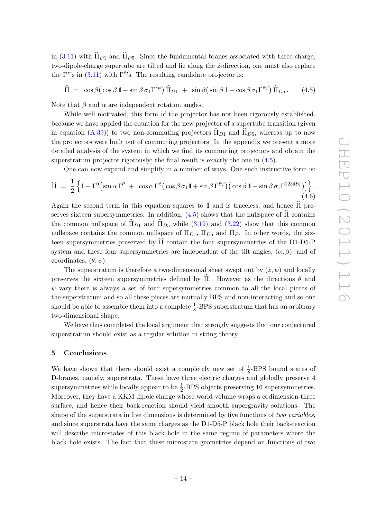in [\(3.11\)](#page-12-1) with  $\widehat{\Pi}_{D1}$  and  $\widehat{\Pi}_{D5}$ . Since the fundamental branes associated with three-charge, two-dipole-charge supertube are tilted and lie along the  $\hat{z}$ -direction, one must also replace the  $\Gamma^{z}$ 's in [\(3.11\)](#page-12-1) with  $\Gamma^{\hat{z}}$ 's. The resulting candidate projector is:

<span id="page-15-1"></span>
$$
\widehat{\Pi} = \cos \beta \left( \cos \beta \, 1 - \sin \beta \, \sigma_1 \Gamma^{\hat{z}\psi} \right) \widehat{\Pi}_{D1} + \sin \beta \left( \sin \beta \, 1 + \cos \beta \, \sigma_1 \Gamma^{\hat{z}\psi} \right) \widehat{\Pi}_{D5}. \tag{4.5}
$$

Note that  $\beta$  and  $\alpha$  are independent rotation angles.

While well motivated, this form of the projector has not been rigorously established, because we have applied the equation for the new projector of a supertube transition (given in equation [\(A.39\)](#page-26-1)) to two non-commuting projectors  $\widehat{\Pi}_{D1}$  and  $\widehat{\Pi}_{D5}$ , whereas up to now the projectors were built out of commuting projectors. In the appendix we present a more detailed analysis of the system in which we find its commuting projectors and obtain the superstratum projector rigorously; the final result is exactly the one in  $(4.5)$ .

One can now expand and simplify in a number of ways. One such instructive form is:

$$
\widehat{\Pi} = \frac{1}{2} \left\{ 1 + \Gamma^0 \left[ \sin \alpha \Gamma^{\hat{\theta}} + \cos \alpha \Gamma^{\hat{z}} \left( \cos \beta \sigma_1 1 + \sin \beta \Gamma^{\hat{z}\psi} \right) \left( \cos \beta 1 - \sin \beta \sigma_1 \Gamma^{1234 \hat{z}\psi} \right) \right] \right\}.
$$
\n(4.6)

Again the second term in this equation squares to 1 and is traceless, and hence  $\hat{\Pi}$  preserves sixteen supersymmetries. In addition,  $(4.5)$  shows that the nullspace of  $\Pi$  contains the common nullspace of  $\widehat{\Pi}_{D1}$  and  $\widehat{\Pi}_{D5}$  while [\(3.19\)](#page-13-5) and [\(3.22\)](#page-13-6) show that this common nullspace contains the common nullspace of  $\Pi_{D1}$ ,  $\Pi_{D5}$  and  $\Pi_{P}$ . In other words, the sixteen supersymmetries preserved by  $\hat{\Pi}$  contain the four supersymmetries of the D1-D5-P system and these four supersymmetries are independent of the tilt angles,  $(\alpha, \beta)$ , and of coordinates,  $(\theta, \psi)$ .

The superstratum is therefore a two-dimensional sheet swept out by  $(\hat{z}, \psi)$  and locally preserves the sixteen supersymmetries defined by  $\hat{\Pi}$ . However as the directions  $\theta$  and  $\psi$  vary there is always a set of four supersymmetries common to all the local pieces of the superstratum and so all these pieces are mutually BPS and non-interacting and so one should be able to assemble them into a complete  $\frac{1}{8}$ -BPS superstratum that has an arbitrary two-dimensional shape.

We have thus completed the local argument that strongly suggests that our conjectured superstratum should exist as a regular solution in string theory.

#### <span id="page-15-0"></span>5 Conclusions

We have shown that there should exist a completely new set of  $\frac{1}{8}$ -BPS bound states of D-branes, namely, superstrata. These have three electric charges and globally preserve 4 supersymmetries while locally appear to be  $\frac{1}{2}$ -BPS objects preserving 16 supersymmetries. Moreover, they have a KKM dipole charge whose world-volume wraps a codimension-three surface, and hence their back-reaction should yield smooth supergravity solutions. The shape of the superstrata in five dimensions is determined by five functions of two variables, and since superstrata have the same charges as the D1-D5-P black hole their back-reaction will describe microstates of this black hole in the same regime of parameters where the black hole exists. The fact that these microstate geometries depend on functions of two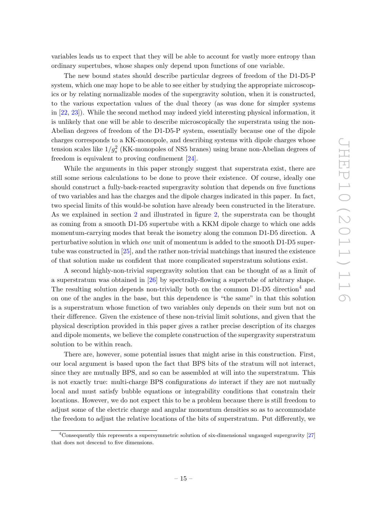variables leads us to expect that they will be able to account for vastly more entropy than ordinary supertubes, whose shapes only depend upon functions of one variable.

The new bound states should describe particular degrees of freedom of the D1-D5-P system, which one may hope to be able to see either by studying the appropriate microscopics or by relating normalizable modes of the supergravity solution, when it is constructed, to the various expectation values of the dual theory (as was done for simpler systems in [\[22,](#page-37-3) [23\]](#page-37-4)). While the second method may indeed yield interesting physical information, it is unlikely that one will be able to describe microscopically the superstrata using the non-Abelian degrees of freedom of the D1-D5-P system, essentially because one of the dipole charges corresponds to a KK-monopole, and describing systems with dipole charges whose tension scales like  $1/g_s^2$  (KK-monopoles of NS5 branes) using brane non-Abelian degrees of freedom is equivalent to proving confinement [\[24\]](#page-37-5).

While the arguments in this paper strongly suggest that superstrata exist, there are still some serious calculations to be done to prove their existence. Of course, ideally one should construct a fully-back-reacted supergravity solution that depends on five functions of two variables and has the charges and the dipole charges indicated in this paper. In fact, two special limits of this would-be solution have already been constructed in the literature. As we explained in section [2](#page-4-0) and illustrated in figure [2,](#page-9-2) the superstrata can be thought as coming from a smooth D1-D5 supertube with a KKM dipole charge to which one adds momentum-carrying modes that break the isometry along the common D1-D5 direction. A perturbative solution in which one unit of momentum is added to the smooth D1-D5 supertube was constructed in  $[25]$ , and the rather non-trivial matchings that insured the existence of that solution make us confident that more complicated superstratum solutions exist.

A second highly-non-trivial supergravity solution that can be thought of as a limit of a superstratum was obtained in [\[26\]](#page-37-7) by spectrally-flowing a supertube of arbitrary shape. The resulting solution depends non-trivially both on the common  $D1-D5$  direction<sup>[4](#page-16-0)</sup> and on one of the angles in the base, but this dependence is "the same" in that this solution is a superstratum whose function of two variables only depends on their sum but not on their difference. Given the existence of these non-trivial limit solutions, and given that the physical description provided in this paper gives a rather precise description of its charges and dipole moments, we believe the complete construction of the supergravity superstratum solution to be within reach.

There are, however, some potential issues that might arise in this construction. First, our local argument is based upon the fact that BPS bits of the stratum will not interact, since they are mutually BPS, and so can be assembled at will into the superstratum. This is not exactly true: multi-charge BPS configurations do interact if they are not mutually local and must satisfy bubble equations or integrability conditions that constrain their locations. However, we do not expect this to be a problem because there is still freedom to adjust some of the electric charge and angular momentum densities so as to accommodate the freedom to adjust the relative locations of the bits of superstratum. Put differently, we

<span id="page-16-0"></span><sup>4</sup>Consequently this represents a supersymmetric solution of six-dimensional ungauged supergravity [\[27\]](#page-37-8) that does not descend to five dimensions.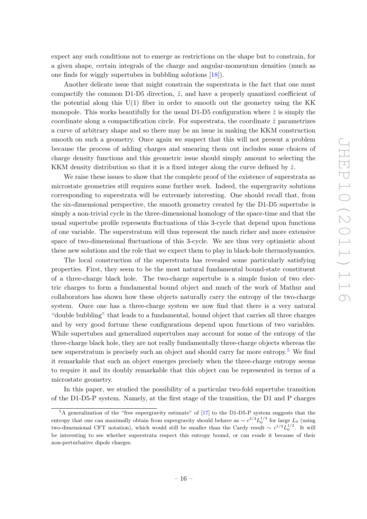expect any such conditions not to emerge as restrictions on the shape but to constrain, for a given shape, certain integrals of the charge and angular-momentum densities (much as one finds for wiggly supertubes in bubbling solutions [\[18\]](#page-36-12)).

Another delicate issue that might constrain the superstrata is the fact that one must compactify the common D1-D5 direction,  $\hat{z}$ , and have a properly quantized coefficient of the potential along this  $U(1)$  fiber in order to smooth out the geometry using the KK monopole. This works beautifully for the usual D1-D5 configuration where  $\hat{z}$  is simply the coordinate along a compactification circle. For superstrata, the coordinate  $\hat{z}$  parametrizes a curve of arbitrary shape and so there may be an issue in making the KKM construction smooth on such a geometry. Once again we suspect that this will not present a problem because the process of adding charges and smearing them out includes some choices of charge density functions and this geometric issue should simply amount to selecting the KKM density distribution so that it is a fixed integer along the curve defined by  $\hat{z}$ .

We raise these issues to show that the complete proof of the existence of superstrata as microstate geometries still requires some further work. Indeed, the supergravity solutions corresponding to superstrata will be extremely interesting. One should recall that, from the six-dimensional perspective, the smooth geometry created by the D1-D5 supertube is simply a non-trivial cycle in the three-dimensional homology of the space-time and that the usual supertube profile represents fluctuations of this 3-cycle that depend upon functions of one variable. The superstratum will thus represent the much richer and more extensive space of two-dimensional fluctuations of this 3-cycle. We are thus very optimistic about these new solutions and the role that we expect them to play in black-hole thermodynamics.

The local construction of the superstrata has revealed some particularly satisfying properties. First, they seem to be the most natural fundamental bound-state constituent of a three-charge black hole. The two-charge supertube is a simple fusion of two electric charges to form a fundamental bound object and much of the work of Mathur and collaborators has shown how these objects naturally carry the entropy of the two-charge system. Once one has a three-charge system we now find that there is a very natural "double bubbling" that leads to a fundamental, bound object that carries all three charges and by very good fortune these configurations depend upon functions of two variables. While supertubes and generalized supertubes may account for some of the entropy of the three-charge black hole, they are not really fundamentally three-charge objects whereas the new superstratum is precisely such an object and should carry far more entropy.[5](#page-17-0) We find it remarkable that such an object emerges precisely when the three-charge entropy seems to require it and its doubly remarkable that this object can be represented in terms of a microstate geometry.

In this paper, we studied the possibility of a particular two-fold supertube transition of the D1-D5-P system. Namely, at the first stage of the transition, the D1 and P charges

<span id="page-17-0"></span> ${}^{5}A$  generalization of the "free supergravity estimate" of [\[17\]](#page-36-11) to the D1-D5-P system suggests that the entropy that one can maximally obtain from supergravity should behave as  $\sim c^{3/4} L_0^{1/4}$  for large  $L_0$  (using two-dimensional CFT notation), which would still be smaller than the Cardy result  $\sim c^{1/2}L_0^{1/2}$ . It will be interesting to see whether superstrata respect this entropy bound, or can evade it because of their non-perturbative dipole charges.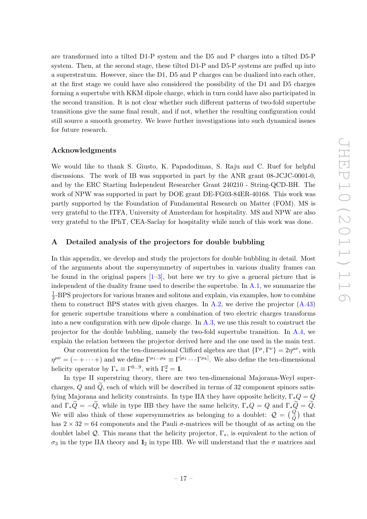are transformed into a tilted D1-P system and the D5 and P charges into a tilted D5-P system. Then, at the second stage, these tilted D1-P and D5-P systems are puffed up into a superstratum. However, since the D1, D5 and P charges can be dualized into each other, at the first stage we could have also considered the possibility of the D1 and D5 charges forming a supertube with KKM dipole charge, which in turn could have also participated in the second transition. It is not clear whether such different patterns of two-fold supertube transitions give the same final result, and if not, whether the resulting configuration could still source a smooth geometry. We leave further investigations into such dynamical issues for future research.

## Acknowledgments

We would like to thank S. Giusto, K. Papadodimas, S. Raju and C. Ruef for helpful discussions. The work of IB was supported in part by the ANR grant 08-JCJC-0001-0, and by the ERC Starting Independent Researcher Grant 240210 - String-QCD-BH. The work of NPW was supported in part by DOE grant DE-FG03-84ER-40168. This work was partly supported by the Foundation of Fundamental Research on Matter (FOM). MS is very grateful to the ITFA, University of Amsterdam for hospitality. MS and NPW are also very grateful to the IPhT, CEA-Saclay for hospitality while much of this work was done.

## <span id="page-18-0"></span>A Detailed analysis of the projectors for double bubbling

In this appendix, we develop and study the projectors for double bubbling in detail. Most of the arguments about the supersymmetry of supertubes in various duality frames can be found in the original papers  $[1-3]$  $[1-3]$ , but here we try to give a general picture that is independent of the duality frame used to describe the supertube. In [A.1,](#page-19-0) we summarize the 1  $\frac{1}{2}$ -BPS projectors for various branes and solitons and explain, via examples, how to combine them to construct BPS states with given charges. In  $A.2$ , we derive the projector  $(A.43)$ for generic supertube transitions where a combination of two electric charges transforms into a new configuration with new dipole charge. In [A.3,](#page-27-0) we use this result to construct the projector for the double bubbling, namely the two-fold supertube transition. In [A.4,](#page-35-0) we explain the relation between the projector derived here and the one used in the main text.

Our convention for the ten-dimensional Clifford algebra are that  $\{\Gamma^\mu, \Gamma^\nu\} = 2\eta^{\mu\nu}$ , with  $\eta^{\mu\nu} = (- + \cdots + )$  and we define  $\Gamma^{\mu_1...\mu_k} \equiv \Gamma^{[\mu_1} \cdots \Gamma^{\mu_k]}$ . We also define the ten-dimensional helicity operator by  $\Gamma_* \equiv \Gamma^{0...9}$ , with  $\Gamma_*^2 = 1$ .

In type II superstring theory, there are two ten-dimensional Majorana-Weyl supercharges,  $Q$  and  $\overline{Q}$ , each of which will be described in terms of 32 component spinors satisfying Majorana and helicity constraints. In type IIA they have opposite helicity,  $\Gamma_* Q = Q$ and  $\Gamma_*\tilde{Q} = -\tilde{Q}$ , while in type IIB they have the same helicity,  $\Gamma_*Q = Q$  and  $\Gamma_*\tilde{Q} = \tilde{Q}$ . We will also think of these supersymmetries as belonging to a doublet:  $\mathcal{Q} = \begin{pmatrix} Q \\ \tilde{C} \end{pmatrix}$  $\begin{pmatrix} Q \\ \tilde{Q} \end{pmatrix}$  that has  $2 \times 32 = 64$  components and the Pauli  $\sigma$ -matrices will be thought of as acting on the doublet label Q. This means that the helicity projector,  $\Gamma_*$ , is equivalent to the action of  $\sigma_3$  in the type IIA theory and  $\mathbb{1}_2$  in type IIB. We will understand that the  $\sigma$  matrices and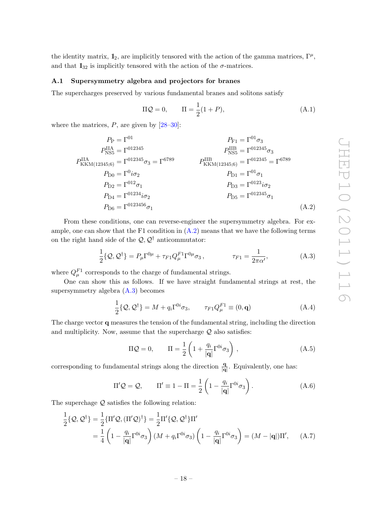the identity matrix,  $\mathbb{1}_2$ , are implicitly tensored with the action of the gamma matrices,  $\Gamma^{\mu}$ , and that  $1_{32}$  is implicitly tensored with the action of the  $\sigma$ -matrices.

#### <span id="page-19-0"></span>A.1 Supersymmetry algebra and projectors for branes

The supercharges preserved by various fundamental branes and solitons satisfy

<span id="page-19-1"></span>
$$
\Pi \mathcal{Q} = 0, \qquad \Pi = \frac{1}{2}(1+P), \tag{A.1}
$$

where the matrices,  $P$ , are given by  $[28-30]$ :

$$
P_{\rm P} = \Gamma^{01} \qquad P_{\rm F1} = \Gamma^{01} \sigma_3
$$
\n
$$
P_{\rm NSS}^{\rm IIA} = \Gamma^{012345} \qquad P_{\rm NS5}^{\rm IIB} = \Gamma^{012345} \sigma_3
$$
\n
$$
P_{\rm KKM(12345;6)}^{\rm IIA} = \Gamma^{012345} \sigma_3 = \Gamma^{6789} \qquad P_{\rm KKM(12345;6)}^{\rm IIB} = \Gamma^{012345} = \Gamma^{6789}
$$
\n
$$
P_{\rm D0} = \Gamma^{0} i \sigma_2 \qquad P_{\rm D1} = \Gamma^{01} \sigma_1
$$
\n
$$
P_{\rm D2} = \Gamma^{012} \sigma_1 \qquad P_{\rm D3} = \Gamma^{012345} \sigma_2
$$
\n
$$
P_{\rm D4} = \Gamma^{012345} \sigma_2 \qquad P_{\rm D5} = \Gamma^{012345} \sigma_1
$$
\n
$$
P_{\rm D6} = \Gamma^{0123456} \sigma_1 \qquad (A.2)
$$

From these conditions, one can reverse-engineer the supersymmetry algebra. For example, one can show that the F1 condition in  $(A.2)$  means that we have the following terms on the right hand side of the  $\mathcal{Q}, \mathcal{Q}^{\dagger}$  anticommutator:

$$
\frac{1}{2}\{\mathcal{Q},\mathcal{Q}^{\dagger}\}=P_{\mu}\Gamma^{0\mu}+\tau_{F1}Q_{\mu}^{F1}\Gamma^{0\mu}\sigma_{3},\qquad\qquad\tau_{F1}=\frac{1}{2\pi\alpha'},\qquad\qquad(\text{A.3})
$$

where  $Q_{\mu}^{F1}$  corresponds to the charge of fundamental strings.

One can show this as follows. If we have straight fundamental strings at rest, the supersymmetry algebra [\(A.3\)](#page-19-2) becomes

<span id="page-19-2"></span>
$$
\frac{1}{2}\{\mathcal{Q},\mathcal{Q}^{\dagger}\}=M+q_i\Gamma^{0i}\sigma_3,\qquad \tau_{F1}Q_{\mu}^{F1}\equiv(0,\mathbf{q})
$$
\n(A.4)

The charge vector q measures the tension of the fundamental string, including the direction and multiplicity. Now, assume that the supercharge  $Q$  also satisfies:

<span id="page-19-6"></span><span id="page-19-5"></span><span id="page-19-4"></span><span id="page-19-3"></span>
$$
\Pi \mathcal{Q} = 0, \qquad \Pi = \frac{1}{2} \left( 1 + \frac{q_i}{|\mathbf{q}|} \Gamma^{0i} \sigma_3 \right), \tag{A.5}
$$

corresponding to fundamental strings along the direction  $\frac{q}{|q|}$ . Equivalently, one has:

$$
\Pi' \mathcal{Q} = \mathcal{Q}, \qquad \Pi' \equiv 1 - \Pi = \frac{1}{2} \left( 1 - \frac{q_i}{|\mathbf{q}|} \Gamma^{0i} \sigma_3 \right). \tag{A.6}
$$

The superchage  $Q$  satisfies the following relation:

$$
\frac{1}{2}\{\mathcal{Q},\mathcal{Q}^{\dagger}\} = \frac{1}{2}\{\Pi'\mathcal{Q},(\Pi'\mathcal{Q})^{\dagger}\} = \frac{1}{2}\Pi'\{\mathcal{Q},\mathcal{Q}^{\dagger}\}\Pi'
$$
\n
$$
= \frac{1}{4}\left(1 - \frac{q_i}{|\mathbf{q}|}\Gamma^{0i}\sigma_3\right)(M + q_i\Gamma^{0i}\sigma_3)\left(1 - \frac{q_i}{|\mathbf{q}|}\Gamma^{0i}\sigma_3\right) = (M - |\mathbf{q}|)\Pi',\tag{A.7}
$$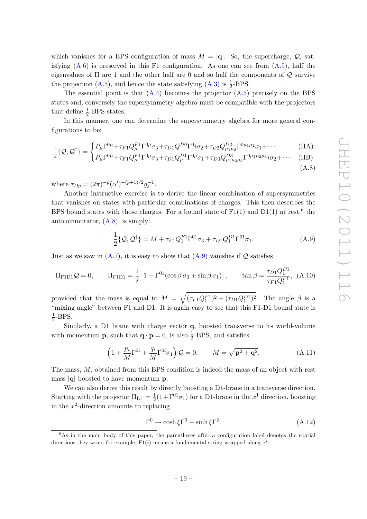which vanishes for a BPS configuration of mass  $M = |\mathbf{q}|$ . So, the supercharge,  $\mathcal{Q}$ , satisfying  $(A.6)$  is preserved in this F1 configuration. As one can see from  $(A.5)$ , half the eigenvalues of  $\Pi$  are 1 and the other half are 0 and so half the components of  $\mathcal Q$  survive the projection [\(A.5\)](#page-19-4), and hence the state satisfying [\(A.3\)](#page-19-2) is  $\frac{1}{2}$ -BPS.

The essential point is that  $(A.4)$  becomes the projector  $(A.5)$  precisely on the BPS states and, conversely the supersymmetry algebra must be compatible with the projectors that define  $\frac{1}{2}$ -BPS states.

In this manner, one can determine the supersymmetry algebra for more general configurations to be:

$$
\frac{1}{2}I_{\Omega} \partial_{\Omega} \dot{\mathcal{J}} = \int P_{\mu} \Gamma^{0\mu} + \tau_{F1} Q_{\mu}^{F1} \Gamma^{0\mu} \sigma_3 + \tau_{D1} Q^{D0} \Gamma^{0} i \sigma_2 + \tau_{D2} Q^{D2}_{\mu_1 \mu_2} \Gamma^{0\mu_1 \mu_2} \sigma_1 + \cdots \tag{IIA}
$$

$$
\frac{1}{2}\{\mathcal{Q},\mathcal{Q}^{\dagger}\} = \begin{cases} I^{\mu} + \tau_{F1}\mathcal{Q}_{\mu} + \tau_{93} + \eta_{1}\mathcal{Q}_{\mu} + \eta_{2}\mathcal{Q}_{\mu_{1}\mu_{2}} + \eta_{3}\mathcal{Q}_{\mu_{1}\mu_{2}} + \eta_{3}\mathcal{Q}_{1} + \eta_{4}\mathcal{Q}_{1} + \eta_{5}\mathcal{Q}_{2} + \eta_{6}\mathcal{Q}_{2} + \eta_{7}\mathcal{Q}_{2} + \eta_{8}\mathcal{Q}_{2} + \eta_{9}\mathcal{Q}_{2} + \eta_{1}\mathcal{Q}_{2} + \eta_{1}\mathcal{Q}_{2} + \eta_{1}\mathcal{Q}_{2} + \eta_{2}\mathcal{Q}_{2} + \eta_{1}\mathcal{Q}_{2} + \eta_{2}\mathcal{Q}_{2} + \eta_{1}\mathcal{Q}_{2} + \eta_{2}\mathcal{Q}_{2} + \eta_{1}\mathcal{Q}_{2} + \eta_{2}\mathcal{Q}_{2} + \eta_{2}\mathcal{Q}_{2} + \eta_{1}\mathcal{Q}_{2} + \eta_{2}\mathcal{Q}_{2} + \eta_{2}\mathcal{Q}_{2} + \eta_{1}\mathcal{Q}_{2} + \eta_{2}\mathcal{Q}_{2} + \eta_{2}\mathcal{Q}_{2} + \eta_{3}\mathcal{Q}_{2} + \eta_{3}\mathcal{Q}_{2} + \eta_{3}\mathcal{Q}_{2} + \eta_{2}\mathcal{Q}_{2} + \eta_{3}\mathcal{Q}_{2} + \eta_{3}\mathcal{Q}_{2} + \eta_{3}\mathcal{Q}_{2} + \eta_{3}\mathcal{Q}_{2} + \eta_{4}\mathcal{Q}_{2} + \eta_{5}\mathcal{Q}_{2} + \eta_{6}\mathcal{Q}_{2} + \eta_{7}\mathcal{Q}_{2} + \eta_{8}\mathcal{Q}_{2} + \eta_{9}\mathcal{Q}_{2} + \eta_{1}\mathcal{Q}_{2} + \eta_{1}\mathcal{Q}_{2} + \eta_{2}\mathcal{Q}_{2} + \eta_{2}\mathcal{Q}_{2} + \eta_{2}\mathcal{Q}_{2} + \eta_{3}\mathcal{Q}_{2} + \eta_{1}\mathcal{Q}_{2} + \eta_{2}\mathcal{Q}_{2} + \eta_{2}\mathcal{Q}_{2} + \eta_{2}\mathcal{Q}_{2} + \eta_{2}\mathcal{Q}_{2} + \eta_{3}\mathcal{Q}_{
$$

<span id="page-20-2"></span><span id="page-20-1"></span>
$$
(\mathrm{A.8})
$$

where  $\tau_{Dp} = (2\pi)^{-p} (\alpha')^{-(p+1)/2} g_s^{-1}$ .

Another instructive exercise is to derive the linear combination of supersymmetries that vanishes on states with particular combinations of charges. This then describes the BPS bound states with those charges. For a bound state of  $F1(1)$  and  $D1(1)$  at rest,<sup>[6](#page-20-0)</sup> the anticommutator,  $(A.8)$ , is simply:

$$
\frac{1}{2}\{\mathcal{Q},\mathcal{Q}^{\dagger}\}=M+\tau_{F1}Q_{1}^{F1}\Gamma^{01}\sigma_{3}+\tau_{D1}Q_{1}^{D1}\Gamma^{01}\sigma_{1}.
$$
\n(A.9)

Just as we saw in  $(A.7)$ , it is easy to show that  $(A.9)$  vanishes if Q satisfies

$$
\Pi_{\text{F1D1}}\mathcal{Q} = 0, \qquad \Pi_{\text{F1D1}} = \frac{1}{2} \left[ 1 + \Gamma^{01} (\cos \beta \sigma_3 + \sin \beta \sigma_1) \right], \qquad \tan \beta = \frac{\tau_{D1} Q_1^{D1}}{\tau_{F1} Q_1^{F1}}, \tag{A.10}
$$

provided that the mass is equal to  $M = \sqrt{(\tau_{F1}Q_1^{F1})^2 + (\tau_{D1}Q_1^{D1})^2}$ . The angle  $\beta$  is a "mixing angle" between F1 and D1. It is again easy to see that this F1-D1 bound state is 1  $\frac{1}{2}$ -BPS.

Similarly, a D1 brane with charge vector q, boosted transverse to its world-volume with momentum **p**, such that  $\mathbf{q} \cdot \mathbf{p} = 0$ , is also  $\frac{1}{2}$ -BPS, and satisfies

$$
\left(1 + \frac{p_i}{M}\Gamma^{0i} + \frac{q_i}{M}\Gamma^{0i}\sigma_1\right)Q = 0, \qquad M = \sqrt{\mathbf{p}^2 + \mathbf{q}^2}.
$$
 (A.11)

The mass, M, obtained from this BPS condition is indeed the mass of an object with rest mass  $|q|$  boosted to have momentum **p**.

We can also derive this result by directly boosting a D1-brane in a transverse direction. Starting with the projector  $\Pi_{D1} = \frac{1}{2}$  $\frac{1}{2}(1+\Gamma^{01}\sigma_1)$  for a D1-brane in the  $x^1$  direction, boosting in the  $x^2$ -direction amounts to replacing

<span id="page-20-4"></span><span id="page-20-3"></span>
$$
\Gamma^0 \to \cosh \xi \Gamma^0 - \sinh \xi \Gamma^2. \tag{A.12}
$$

<span id="page-20-0"></span> $6$ As in the main body of this paper, the parentheses after a configuration label denotes the spatial directions they wrap, for example,  $F1(i)$  means a fundamental string wrapped along  $x^i$ .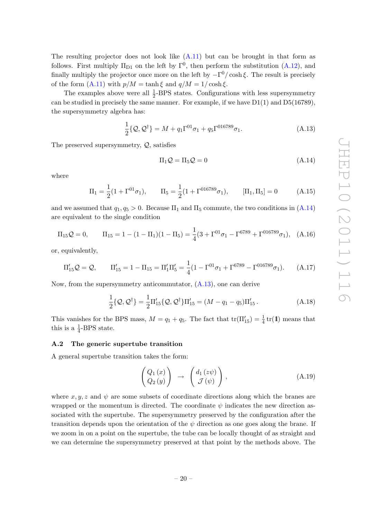The resulting projector does not look like  $(A.11)$  but can be brought in that form as follows. First multiply  $\Pi_{D1}$  on the left by  $\Gamma^{0}$ , then perform the substitution [\(A.12\)](#page-20-4), and finally multiply the projector once more on the left by  $-\Gamma^0/\cosh \xi$ . The result is precisely of the form  $(A.11)$  with  $p/M = \tanh \xi$  and  $q/M = 1/\cosh \xi$ .

The examples above were all  $\frac{1}{2}$ -BPS states. Configurations with less supersymmetry can be studied in precisely the same manner. For example, if we have  $D1(1)$  and  $D5(16789)$ , the supersymmetry algebra has:

$$
\frac{1}{2}\{\mathcal{Q},\mathcal{Q}^{\dagger}\}=M+q_{1}\Gamma^{01}\sigma_{1}+q_{5}\Gamma^{016789}\sigma_{1}.
$$
\n(A.13)

The preserved supersymmetry,  $Q$ , satisfies

<span id="page-21-2"></span><span id="page-21-1"></span>
$$
\Pi_1 \mathcal{Q} = \Pi_5 \mathcal{Q} = 0 \tag{A.14}
$$

where

$$
\Pi_1 = \frac{1}{2}(1 + \Gamma^{01}\sigma_1), \qquad \Pi_5 = \frac{1}{2}(1 + \Gamma^{016789}\sigma_1), \qquad [\Pi_1, \Pi_5] = 0 \tag{A.15}
$$

and we assumed that  $q_1, q_5 > 0$ . Because  $\Pi_1$  and  $\Pi_5$  commute, the two conditions in  $(A.14)$ are equivalent to the single condition

$$
\Pi_{15} \mathcal{Q} = 0, \qquad \Pi_{15} = 1 - (1 - \Pi_1)(1 - \Pi_5) = \frac{1}{4}(3 + \Gamma^{01} \sigma_1 - \Gamma^{6789} + \Gamma^{016789} \sigma_1), \quad \text{(A.16)}
$$

or, equivalently,

$$
\Pi'_{15} \mathcal{Q} = \mathcal{Q}, \qquad \Pi'_{15} = 1 - \Pi_{15} = \Pi'_1 \Pi'_5 = \frac{1}{4} (1 - \Gamma^{01} \sigma_1 + \Gamma^{6789} - \Gamma^{016789} \sigma_1). \tag{A.17}
$$

Now, from the supersymmetry anticommutator, [\(A.13\)](#page-21-2), one can derive

$$
\frac{1}{2}\{\mathcal{Q},\mathcal{Q}^{\dagger}\} = \frac{1}{2}\Pi'_{15}\{\mathcal{Q},\mathcal{Q}^{\dagger}\}\Pi'_{15} = (M - q_1 - q_5)\Pi'_{15}.
$$
\n(A.18)

This vanishes for the BPS mass,  $M = q_1 + q_5$ . The fact that  $\text{tr}(\Pi'_{15}) = \frac{1}{4} \text{tr}(\mathbf{1})$  means that this is a  $\frac{1}{4}$ -BPS state.

## <span id="page-21-0"></span>A.2 The generic supertube transition

A general supertube transition takes the form:

<span id="page-21-3"></span>
$$
\begin{pmatrix}\nQ_1(x) \\
Q_2(y)\n\end{pmatrix}\n\rightarrow\n\begin{pmatrix}\nd_1(z\psi) \\
\mathcal{J}(\psi)\n\end{pmatrix},
$$
\n(A.19)

where  $x, y, z$  and  $\psi$  are some subsets of coordinate directions along which the branes are wrapped or the momentum is directed. The coordinate  $\psi$  indicates the new direction associated with the supertube. The supersymmetry preserved by the configuration after the transition depends upon the orientation of the  $\psi$  direction as one goes along the brane. If we zoom in on a point on the supertube, the tube can be locally thought of as straight and we can determine the supersymmetry preserved at that point by the methods above. The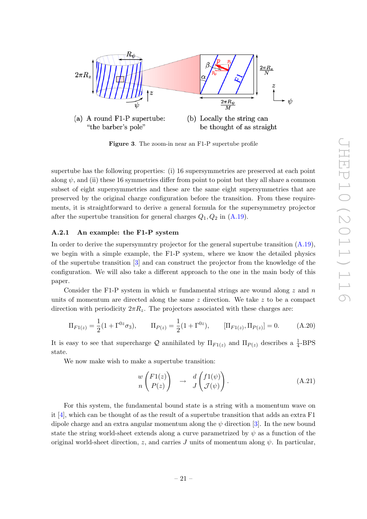

(a) A round  $F1-P$  supertube: (b) Locally the string can "the barber's pole" be thought of as straight

<span id="page-22-1"></span>Figure 3. The zoom-in near an F1-P supertube profile

supertube has the following properties: (i) 16 supersymmetries are preserved at each point along  $\psi$ , and (ii) these 16 symmetries differ from point to point but they all share a common subset of eight supersymmetries and these are the same eight supersymmetries that are preserved by the original charge configuration before the transition. From these requirements, it is straightforward to derive a general formula for the supersymmetry projector after the supertube transition for general charges  $Q_1, Q_2$  in  $(A.19)$ .

## <span id="page-22-0"></span>A.2.1 An example: the F1-P system

In order to derive the supersymmtry projector for the general supertube transition [\(A.19\)](#page-21-3), we begin with a simple example, the F1-P system, where we know the detailed physics of the supertube transition [\[3\]](#page-36-2) and can construct the projector from the knowledge of the configuration. We will also take a different approach to the one in the main body of this paper.

Consider the F1-P system in which w fundamental strings are wound along  $z$  and  $n$ units of momentum are directed along the same  $z$  direction. We take  $z$  to be a compact direction with periodicity  $2\pi R_z$ . The projectors associated with these charges are:

$$
\Pi_{F1(z)} = \frac{1}{2}(1 + \Gamma^{0z}\sigma_3), \qquad \Pi_{P(z)} = \frac{1}{2}(1 + \Gamma^{0z}), \qquad [\Pi_{F1(z)}, \Pi_{P(z)}] = 0.
$$
 (A.20)

It is easy to see that supercharge Q annihilated by  $\Pi_{F1(z)}$  and  $\Pi_{P(z)}$  describes a  $\frac{1}{4}$ -BPS state.

We now make wish to make a supertube transition:

<span id="page-22-2"></span>
$$
\begin{array}{cc} w \left( F1(z) \right) & \to & d \left( f1(\psi) \right) \\ n \left( P(z) \right) & \to & J \left( \mathcal{J}(\psi) \right). \end{array} \tag{A.21}
$$

For this system, the fundamental bound state is a string with a momentum wave on it  $[4]$ , which can be thought of as the result of a supertube transition that adds an extra  $F1$ dipole charge and an extra angular momentum along the  $\psi$  direction [\[3\]](#page-36-2). In the new bound state the string world-sheet extends along a curve parametrized by  $\psi$  as a function of the original world-sheet direction, z, and carries J units of momentum along  $\psi$ . In particular,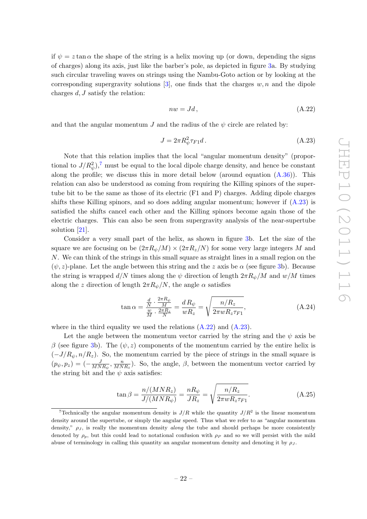if  $\psi = z \tan \alpha$  the shape of the string is a helix moving up (or down, depending the signs of charges) along its axis, just like the barber's pole, as depicted in figure [3a](#page-22-1). By studying such circular traveling waves on strings using the Nambu-Goto action or by looking at the corresponding supergravity solutions [\[3\]](#page-36-2), one finds that the charges  $w, n$  and the dipole charges  $d, J$  satisfy the relation:

<span id="page-23-2"></span><span id="page-23-1"></span>
$$
nw = Jd, \tag{A.22}
$$

and that the angular momentum J and the radius of the  $\psi$  circle are related by:

$$
J = 2\pi R_{\psi}^2 \tau_{F1} d. \tag{A.23}
$$

Note that this relation implies that the local "angular momentum density" (proportional to  $J/R_\psi^2$ ,<sup>[7](#page-23-0)</sup> must be equal to the local dipole charge density, and hence be constant along the profile; we discuss this in more detail below (around equation  $(A.36)$ ). This relation can also be understood as coming from requiring the Killing spinors of the supertube bit to be the same as those of its electric (F1 and P) charges. Adding dipole charges shifts these Killing spinors, and so does adding angular momentum; however if [\(A.23\)](#page-23-1) is satisfied the shifts cancel each other and the Killing spinors become again those of the electric charges. This can also be seen from supergravity analysis of the near-supertube solution [\[21\]](#page-37-2).

Consider a very small part of the helix, as shown in figure [3b](#page-22-1). Let the size of the square we are focusing on be  $(2\pi R_{\psi}/M) \times (2\pi R_{z}/N)$  for some very large integers M and N. We can think of the strings in this small square as straight lines in a small region on the  $(\psi, z)$ -plane. Let the angle between this string and the z axis be  $\alpha$  (see figure [3b](#page-22-1)). Because the string is wrapped  $d/N$  times along the  $\psi$  direction of length  $2\pi R_{\psi}/M$  and  $w/M$  times along the z direction of length  $2\pi R_{\psi}/N$ , the angle  $\alpha$  satisfies

<span id="page-23-3"></span>
$$
\tan \alpha = \frac{\frac{d}{N} \cdot \frac{2\pi R_{\psi}}{M}}{\frac{w}{M} \cdot \frac{2\pi R_{z}}{N}} = \frac{dR_{\psi}}{wR_{z}} = \sqrt{\frac{n/R_{z}}{2\pi wR_{z}\tau_{F1}}},
$$
\n(A.24)

where in the third equality we used the relations  $(A.22)$  and  $(A.23)$ .

Let the angle between the momentum vector carried by the string and the  $\psi$  axis be β (see figure [3b](#page-22-1)). The  $(ψ, z)$  components of the momentum carried by the entire helix is  $(-J/R_{\psi}, n/R_z)$ . So, the momentum carried by the piece of strings in the small square is  $(p_{\psi}, p_{z}) = \left(-\frac{J}{MN}\right)$  $\frac{J}{MNR_{\psi}}, \frac{n}{MN}$  $\frac{n}{MNR_z}$ ). So, the angle,  $\beta$ , between the momentum vector carried by the string bit and the  $\psi$  axis satisfies:

$$
\tan \beta = \frac{n/(MNR_z)}{J/(MNR_\psi)} = \frac{nR_\psi}{JR_z} = \sqrt{\frac{n/R_z}{2\pi wR_z \tau_{F1}}}.
$$
\n(A.25)

<span id="page-23-0"></span><sup>&</sup>lt;sup>7</sup> Technically the angular momentum density is  $J/R$  while the quantity  $J/R<sup>2</sup>$  is the linear momentum density around the supertube, or simply the angular speed. Thus what we refer to as "angular momentum density,"  $\rho_J$ , is really the momentum density *along* the tube and should perhaps be more consistently denoted by  $\rho_p$ , but this could lead to notational confusion with  $\rho_p$  and so we will persist with the mild abuse of terminology in calling this quantity an angular momentum density and denoting it by  $\rho_J$ .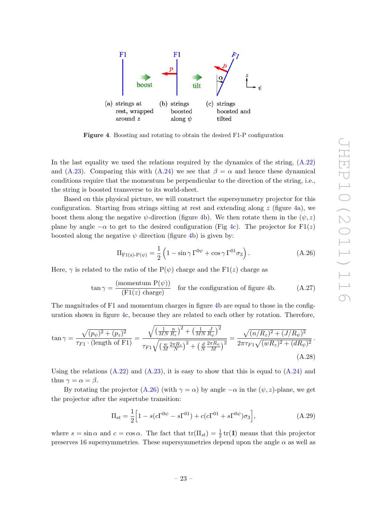

<span id="page-24-0"></span>Figure 4. Boosting and rotating to obtain the desired F1-P configuration

In the last equality we used the relations required by the dynamics of the string,  $(A.22)$ and [\(A.23\)](#page-23-1). Comparing this with [\(A.24\)](#page-23-3) we see that  $\beta = \alpha$  and hence these dynamical conditions require that the momentum be perpendicular to the direction of the string, i.e., the string is boosted transverse to its world-sheet.

Based on this physical picture, we will construct the supersymmetry projector for this configuration. Starting from strings sitting at rest and extending along  $z$  (figure [4a](#page-24-0)), we boost them along the negative  $\psi$ -direction (figure [4b](#page-24-0)). We then rotate them in the  $(\psi, z)$ plane by angle  $-\alpha$  to get to the desired configuration (Fig [4c](#page-24-0)). The projector for F1(z) boosted along the negative  $\psi$  direction (figure [4b](#page-24-0)) is given by:

<span id="page-24-1"></span>
$$
\Pi_{\mathrm{F1}(z)\text{-P}(\psi)} = \frac{1}{2} \left( 1 - \sin \gamma \Gamma^{0\psi} + \cos \gamma \Gamma^{01} \sigma_3 \right). \tag{A.26}
$$

Here,  $\gamma$  is related to the ratio of the P( $\psi$ ) charge and the F1(z) charge as

$$
\tan \gamma = \frac{\text{(momentum P}(\psi))}{\text{(F1}(z) \text{ charge)}} \quad \text{for the configuration of figure 4b.} \tag{A.27}
$$

The magnitudes of F1 and momentum charges in figure [4b](#page-24-0) are equal to those in the configuration shown in figure [4c](#page-24-0), because they are related to each other by rotation. Therefore,

$$
\tan \gamma = \frac{\sqrt{(p_{\psi})^2 + (p_{z})^2}}{\tau_{F1} \cdot (\text{length of F1})} = \frac{\sqrt{\left(\frac{1}{MN} \frac{n}{R_{z}}\right)^2 + \left(\frac{1}{MN} \frac{J}{R_{\psi}}\right)^2}}{\tau_{F1} \sqrt{\left(\frac{w}{M} \frac{2\pi R_{z}}{N}\right)^2 + \left(\frac{d}{N} \frac{2\pi R_{\psi}}{M}\right)^2}} = \frac{\sqrt{(n/R_{z})^2 + (J/R_{\psi})^2}}{2\pi \tau_{F1} \sqrt{(wR_{z})^2 + (dR_{\psi})^2}}.
$$
\n(A.28)

Using the relations  $(A.22)$  and  $(A.23)$ , it is easy to show that this is equal to  $(A.24)$  and thus  $\gamma = \alpha = \beta$ .

By rotating the projector [\(A.26\)](#page-24-1) (with  $\gamma = \alpha$ ) by angle  $-\alpha$  in the  $(\psi, z)$ -plane, we get the projector after the supertube transition:

<span id="page-24-2"></span>
$$
\Pi_{st} = \frac{1}{2} \Big[ 1 - s(c\Gamma^{0\psi} - s\Gamma^{01}) + c(c\Gamma^{01} + s\Gamma^{0\psi})\sigma_3 \Big],
$$
\n(A.29)

where  $s = \sin \alpha$  and  $c = \cos \alpha$ . The fact that  $tr(\Pi_{st}) = \frac{1}{2} tr(\mathbf{1})$  means that this projector preserves 16 supersymmetries. These supersymmetries depend upon the angle  $\alpha$  as well as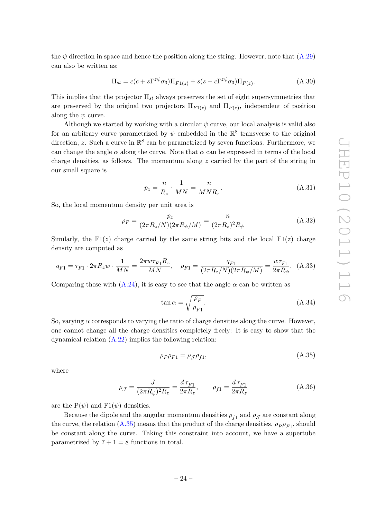the  $\psi$  direction in space and hence the position along the string. However, note that  $(A.29)$ can also be written as:

<span id="page-25-2"></span>
$$
\Pi_{st} = c(c + s\Gamma^{z\psi}\sigma_3)\Pi_{F1(z)} + s(s - c\Gamma^{z\psi}\sigma_3)\Pi_{P(z)}.
$$
\n(A.30)

This implies that the projector  $\Pi_{st}$  always preserves the set of eight supersymmetries that are preserved by the original two projectors  $\Pi_{F1(z)}$  and  $\Pi_{P(z)}$ , independent of position along the  $\psi$  curve.

Although we started by working with a circular  $\psi$  curve, our local analysis is valid also for an arbitrary curve parametrized by  $\psi$  embedded in the  $\mathbb{R}^8$  transverse to the original direction, z. Such a curve in  $\mathbb{R}^8$  can be parametrized by seven functions. Furthermore, we can change the angle  $\alpha$  along the curve. Note that  $\alpha$  can be expressed in terms of the local charge densities, as follows. The momentum along  $z$  carried by the part of the string in our small square is

$$
p_z = \frac{n}{R_z} \cdot \frac{1}{MN} = \frac{n}{MNR_z}.\tag{A.31}
$$

So, the local momentum density per unit area is

$$
\rho_P = \frac{p_z}{(2\pi R_z/N)(2\pi R_\psi/M)} = \frac{n}{(2\pi R_z)^2 R_\psi}
$$
(A.32)

Similarly, the F1(z) charge carried by the same string bits and the local F1(z) charge density are computed as

$$
q_{F1} = \tau_{F1} \cdot 2\pi R_z w \cdot \frac{1}{MN} = \frac{2\pi w \tau_{F1} R_z}{MN}, \quad \rho_{F1} = \frac{q_{F1}}{(2\pi R_z/N)(2\pi R_\psi/M)} = \frac{w \tau_{F1}}{2\pi R_\psi}.
$$
 (A.33)

Comparing these with  $(A.24)$ , it is easy to see that the angle  $\alpha$  can be written as

<span id="page-25-4"></span><span id="page-25-3"></span>
$$
\tan \alpha = \sqrt{\frac{\rho_P}{\rho_{F1}}}.\tag{A.34}
$$

So, varying  $\alpha$  corresponds to varying the ratio of charge densities along the curve. However, one cannot change all the charge densities completely freely: It is easy to show that the dynamical relation  $(A.22)$  implies the following relation:

<span id="page-25-1"></span><span id="page-25-0"></span>
$$
\rho_P \rho_{F1} = \rho_{\mathcal{J}} \rho_{f1},\tag{A.35}
$$

where

$$
\rho_{\mathcal{J}} = \frac{J}{(2\pi R_{\psi})^2 R_z} = \frac{d\,\tau_{F1}}{2\pi R_z}, \qquad \rho_{f1} = \frac{d\,\tau_{F1}}{2\pi R_z} \tag{A.36}
$$

are the  $P(\psi)$  and  $F1(\psi)$  densities.

Because the dipole and the angular momentum densities  $\rho_{f1}$  and  $\rho_{\mathcal{J}}$  are constant along the curve, the relation  $(A.35)$  means that the product of the charge densities,  $\rho_P \rho_{F1}$ , should be constant along the curve. Taking this constraint into account, we have a supertube parametrized by  $7 + 1 = 8$  functions in total.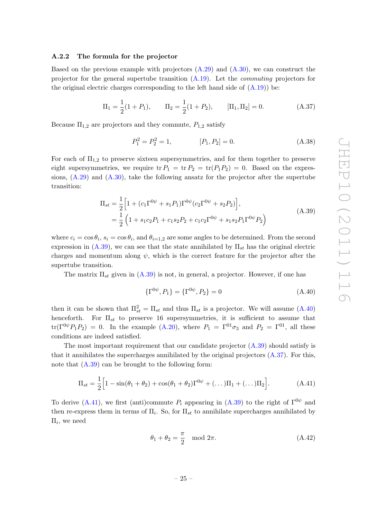## <span id="page-26-0"></span>A.2.2 The formula for the projector

Based on the previous example with projectors  $(A.29)$  and  $(A.30)$ , we can construct the projector for the general supertube transition  $(A.19)$ . Let the *commuting* projectors for the original electric charges corresponding to the left hand side of  $(A.19)$  be:

$$
\Pi_1 = \frac{1}{2}(1 + P_1), \qquad \Pi_2 = \frac{1}{2}(1 + P_2), \qquad [\Pi_1, \Pi_2] = 0.
$$
\n(A.37)

Because  $\Pi_{1,2}$  are projectors and they commute,  $P_{1,2}$  satisfy

<span id="page-26-3"></span>
$$
P_1^2 = P_2^2 = 1, \t [P_1, P_2] = 0. \t (A.38)
$$

For each of  $\Pi_{1,2}$  to preserve sixteen supersymmetries, and for them together to preserve eight supersymmetries, we require tr  $P_1 = \text{tr } P_2 = \text{tr}(P_1 P_2) = 0$ . Based on the expressions,  $(A.29)$  and  $(A.30)$ , take the following ansatz for the projector after the supertube transition:

$$
\Pi_{st} = \frac{1}{2} \Big[ 1 + (c_1 \Gamma^{0\psi} + s_1 P_1) \Gamma^{0\psi} (c_2 \Gamma^{0\psi} + s_2 P_2) \Big],
$$
\n
$$
= \frac{1}{2} \Big( 1 + s_1 c_2 P_1 + c_1 s_2 P_2 + c_1 c_2 \Gamma^{0\psi} + s_1 s_2 P_1 \Gamma^{0\psi} P_2 \Big)
$$
\n(A.39)

where  $c_i = \cos \theta_i$ ,  $s_i = \cos \theta_i$ , and  $\theta_{i=1,2}$  are some angles to be determined. From the second expression in  $(A.39)$ , we can see that the state annihilated by  $\Pi_{st}$  has the original electric charges and momentum along  $\psi$ , which is the correct feature for the projector after the supertube transition.

The matrix  $\Pi_{st}$  given in [\(A.39\)](#page-26-1) is not, in general, a projector. However, if one has

<span id="page-26-2"></span><span id="page-26-1"></span>
$$
\{\Gamma^{0\psi}, P_1\} = \{\Gamma^{0\psi}, P_2\} = 0
$$
\n(A.40)

then it can be shown that  $\Pi_{st}^2 = \Pi_{st}$  and thus  $\Pi_{st}$  is a projector. We will assume  $(A.40)$ henceforth. For  $\Pi_{st}$  to preserve 16 supersymmetries, it is sufficient to assume that  $tr(\Gamma^{0\psi}P_1P_2) = 0$ . In the example [\(A.20\)](#page-22-2), where  $P_1 = \Gamma^{01}\sigma_3$  and  $P_2 = \Gamma^{01}$ , all these conditions are indeed satisfied.

The most important requirement that our candidate projector  $(A.39)$  should satisfy is that it annihilates the supercharges annihilated by the original projectors [\(A.37\)](#page-26-3). For this, note that  $(A.39)$  can be brought to the following form:

$$
\Pi_{st} = \frac{1}{2} \Big[ 1 - \sin(\theta_1 + \theta_2) + \cos(\theta_1 + \theta_2) \Gamma^{0\psi} + (\dots) \Pi_1 + (\dots) \Pi_2 \Big].
$$
 (A.41)

To derive [\(A.41\)](#page-26-4), we first (anti)commute  $P_i$  appearing in [\(A.39\)](#page-26-1) to the right of  $\Gamma^{0\psi}$  and then re-express them in terms of  $\Pi_i$ . So, for  $\Pi_{st}$  to annihilate supercharges annihilated by  $\Pi_i$ , we need

<span id="page-26-4"></span>
$$
\theta_1 + \theta_2 = \frac{\pi}{2} \mod 2\pi. \tag{A.42}
$$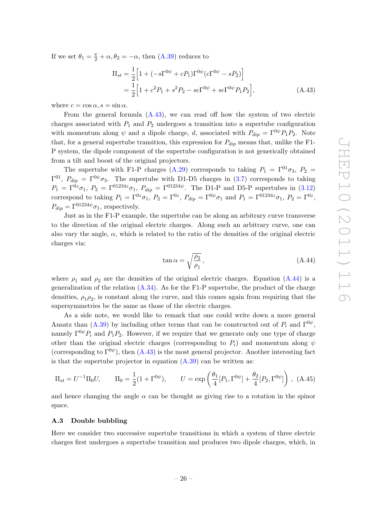If we set  $\theta_1 = \frac{\pi}{2} + \alpha, \theta_2 = -\alpha$ , then [\(A.39\)](#page-26-1) reduces to

<span id="page-27-1"></span>
$$
\Pi_{st} = \frac{1}{2} \Big[ 1 + (-s\Gamma^{0\psi} + cP_1)\Gamma^{0\psi}(c\Gamma^{0\psi} - sP_2) \Big]
$$
  
=  $\frac{1}{2} \Big[ 1 + c^2 P_1 + s^2 P_2 - sc\Gamma^{0\psi} + sc\Gamma^{0\psi} P_1 P_2 \Big],$  (A.43)

where  $c = \cos \alpha$ ,  $s = \sin \alpha$ .

From the general formula [\(A.43\)](#page-27-1), we can read off how the system of two electric charges associated with  $P_1$  and  $P_2$  undergoes a transition into a supertube configuration with momentum along  $\psi$  and a dipole charge, d, associated with  $P_{dip} = \Gamma^{0\psi} P_1 P_2$ . Note that, for a general supertube transition, this expression for  $P_{dip}$  means that, unlike the F1-P system, the dipole component of the supertube configuration is not generically obtained from a tilt and boost of the original projectors.

The supertube with F1-P charges [\(A.29\)](#page-24-2) corresponds to taking  $P_1 = \Gamma^{01}\sigma_3$ ,  $P_2 =$  $\Gamma^{01}$ ,  $P_{dip} = \Gamma^{0\psi}\sigma_3$ . The supertube with D1-D5 charges in [\(3.7\)](#page-11-1) corresponds to taking  $P_1 = \Gamma^{0z}\sigma_1$ ,  $P_2 = \Gamma^{01234z}\sigma_1$ ,  $P_{dip} = \Gamma^{01234\psi}$ . The D1-P and D5-P supertubes in [\(3.12\)](#page-12-3) correspond to taking  $P_1 = \Gamma^{0z}\sigma_1$ ,  $P_2 = \Gamma^{0z}$ ,  $P_{dip} = \Gamma^{0\psi}\sigma_1$  and  $P_1 = \Gamma^{01234z}\sigma_1$ ,  $P_2 = \Gamma^{0z}$ ,  $P_{div} = \Gamma^{01234\psi} \sigma_1$ , respectively.

Just as in the F1-P example, the supertube can be along an arbitrary curve transverse to the direction of the original electric charges. Along such an arbitrary curve, one can also vary the angle,  $\alpha$ , which is related to the ratio of the densities of the original electric charges via:

<span id="page-27-3"></span><span id="page-27-2"></span>
$$
\tan \alpha = \sqrt{\frac{\rho_2}{\rho_1}},\tag{A.44}
$$

where  $\rho_1$  and  $\rho_2$  are the densities of the original electric charges. Equation [\(A.44\)](#page-27-2) is a generalization of the relation  $(A.34)$ . As for the F1-P supertube, the product of the charge densities,  $\rho_1 \rho_2$ , is constant along the curve, and this comes again from requiring that the supersymmetries be the same as those of the electric charges.

As a side note, we would like to remark that one could write down a more general Ansatz than [\(A.39\)](#page-26-1) by including other terms that can be constructed out of  $P_i$  and  $\Gamma^{0\psi}$ , namely  $\Gamma^{0\psi}P_i$  and  $P_1P_2$ . However, if we require that we generate only one type of charge other than the original electric charges (corresponding to  $P_i$ ) and momentum along  $\psi$ (corresponding to  $\Gamma^{0\psi}$ ), then [\(A.43\)](#page-27-1) is the most general projector. Another interesting fact is that the supertube projector in equation  $(A.39)$  can be written as:

$$
\Pi_{st} = U^{-1} \Pi_0 U, \qquad \Pi_0 = \frac{1}{2} (1 + \Gamma^{0\psi}), \qquad U = \exp\left(\frac{\theta_1}{4} [P_1, \Gamma^{0\psi}] + \frac{\theta_2}{4} [P_2, \Gamma^{0\psi}] \right), \tag{A.45}
$$

and hence changing the angle  $\alpha$  can be thought as giving rise to a rotation in the spinor space.

## <span id="page-27-0"></span>A.3 Double bubbling

Here we consider two successive supertube transitions in which a system of three electric charges first undergoes a supertube transition and produces two dipole charges, which, in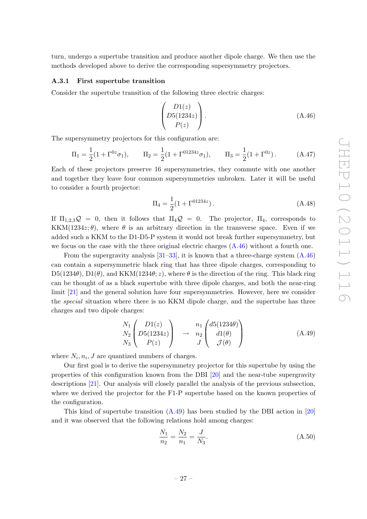turn, undergo a supertube transition and produce another dipole charge. We then use the methods developed above to derive the corresponding supersymmetry projectors.

#### <span id="page-28-0"></span>A.3.1 First supertube transition

Consider the supertube transition of the following three electric charges:

<span id="page-28-4"></span><span id="page-28-1"></span>
$$
\begin{pmatrix}\nD1(z) \\
D5(1234z) \\
P(z)\n\end{pmatrix}.
$$
\n(A.46)

The supersymmetry projectors for this configuration are:

$$
\Pi_1 = \frac{1}{2}(1 + \Gamma^{0z}\sigma_1), \qquad \Pi_2 = \frac{1}{2}(1 + \Gamma^{01234z}\sigma_1), \qquad \Pi_3 = \frac{1}{2}(1 + \Gamma^{0z}). \tag{A.47}
$$

Each of these projectors preserve 16 supersymmetries, they commute with one another and together they leave four common supersymmetries unbroken. Later it will be useful to consider a fourth projector:

<span id="page-28-5"></span>
$$
\Pi_4 = \frac{1}{2} (1 + \Gamma^{01234z}). \tag{A.48}
$$

If  $\Pi_{1,2,3}\mathcal{Q} = 0$ , then it follows that  $\Pi_4\mathcal{Q} = 0$ . The projector,  $\Pi_4$ , corresponds to KKM(1234 $z$ ;  $\theta$ ), where  $\theta$  is an arbitrary direction in the transverse space. Even if we added such a KKM to the D1-D5-P system it would not break further supersymmetry, but we focus on the case with the three original electric charges  $(A.46)$  without a fourth one.

From the supergravity analysis  $[31–33]$  $[31–33]$ , it is known that a three-charge system  $(A.46)$ can contain a supersymmetric black ring that has three dipole charges, corresponding to  $D5(1234\theta)$ ,  $D1(\theta)$ , and KKM(1234 $\theta$ ; z), where  $\theta$  is the direction of the ring. This black ring can be thought of as a black supertube with three dipole charges, and both the near-ring limit [\[21\]](#page-37-2) and the general solution have four supersymmetries. However, here we consider the special situation where there is no KKM dipole charge, and the supertube has three charges and two dipole charges:

<span id="page-28-2"></span>
$$
\begin{array}{c}\nN_1 \\
N_2 \\
N_3\n\end{array}\n\begin{pmatrix}\nD1(z) \\
D5(1234z) \\
P(z)\n\end{pmatrix}\n\quad\n\to\n\begin{array}{c}\nn_1 \\
n_2 \\
J\n\end{array}\n\begin{pmatrix}\nd5(1234\theta) \\
d1(\theta) \\
\mathcal{J}(\theta)\n\end{pmatrix}
$$
\n(A.49)

where  $N_i$ ,  $n_i$ ,  $J$  are quantized numbers of charges.

Our first goal is to derive the supersymmetry projector for this supertube by using the properties of this configuration known from the DBI [\[20\]](#page-37-1) and the near-tube supergravity descriptions [\[21\]](#page-37-2). Our analysis will closely parallel the analysis of the previous subsection, where we derived the projector for the F1-P supertube based on the known properties of the configuration.

This kind of supertube transition  $(A.49)$  has been studied by the DBI action in [\[20\]](#page-37-1) and it was observed that the following relations hold among charges:

<span id="page-28-3"></span>
$$
\frac{N_1}{n_2} = \frac{N_2}{n_1} = \frac{J}{N_3}.\tag{A.50}
$$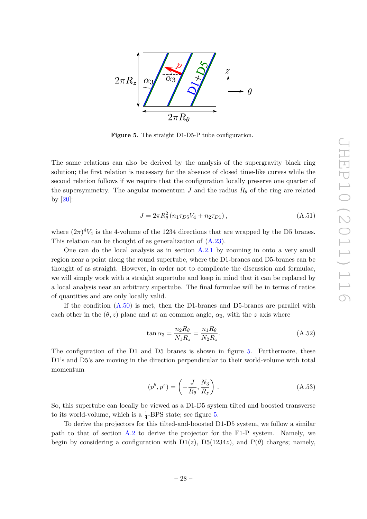

<span id="page-29-0"></span>Figure 5. The straight D1-D5-P tube configuration.

The same relations can also be derived by the analysis of the supergravity black ring solution; the first relation is necessary for the absence of closed time-like curves while the second relation follows if we require that the configuration locally preserve one quarter of the supersymmetry. The angular momentum  $J$  and the radius  $R_{\theta}$  of the ring are related by [\[20\]](#page-37-1):

<span id="page-29-1"></span>
$$
J = 2\pi R_{\theta}^{2} (n_{1}\tau_{D5}V_{4} + n_{2}\tau_{D1}), \qquad (A.51)
$$

where  $(2\pi)^4 V_4$  is the 4-volume of the 1234 directions that are wrapped by the D5 branes. This relation can be thought of as generalization of [\(A.23\)](#page-23-1).

One can do the local analysis as in section [A.2.1](#page-22-0) by zooming in onto a very small region near a point along the round supertube, where the D1-branes and D5-branes can be thought of as straight. However, in order not to complicate the discussion and formulae, we will simply work with a straight supertube and keep in mind that it can be replaced by a local analysis near an arbitrary supertube. The final formulae will be in terms of ratios of quantities and are only locally valid.

If the condition [\(A.50\)](#page-28-3) is met, then the D1-branes and D5-branes are parallel with each other in the  $(\theta, z)$  plane and at an common angle,  $\alpha_3$ , with the z axis where

$$
\tan \alpha_3 = \frac{n_2 R_\theta}{N_1 R_z} = \frac{n_1 R_\theta}{N_2 R_z}.
$$
\n(A.52)

The configuration of the D1 and D5 branes is shown in figure [5.](#page-29-0) Furthermore, these D1's and D5's are moving in the direction perpendicular to their world-volume with total momentum

<span id="page-29-2"></span>
$$
(p^{\theta}, p^z) = \left(-\frac{J}{R_{\theta}}, \frac{N_3}{R_z}\right). \tag{A.53}
$$

So, this supertube can locally be viewed as a D1-D5 system tilted and boosted transverse to its world-volume, which is a  $\frac{1}{4}$ -BPS state; see figure [5.](#page-29-0)

To derive the projectors for this tilted-and-boosted D1-D5 system, we follow a similar path to that of section [A.2](#page-21-0) to derive the projector for the F1-P system. Namely, we begin by considering a configuration with  $D1(z)$ ,  $D5(1234z)$ , and  $P(\theta)$  charges; namely,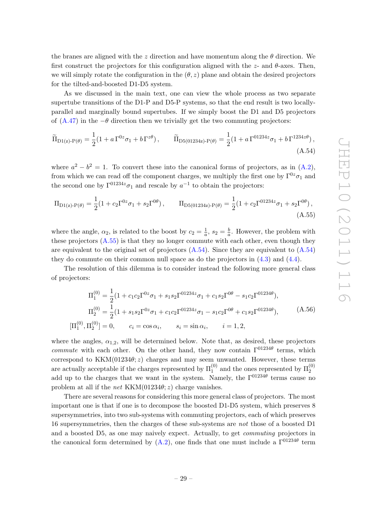the branes are aligned with the z direction and have momentum along the  $\theta$  direction. We first construct the projectors for this configuration aligned with the  $z$ - and  $\theta$ -axes. Then, we will simply rotate the configuration in the  $(\theta, z)$  plane and obtain the desired projectors for the tilted-and-boosted D1-D5 system.

As we discussed in the main text, one can view the whole process as two separate supertube transitions of the D1-P and D5-P systems, so that the end result is two locallyparallel and marginally bound supertubes. If we simply boost the D1 and D5 projectors of [\(A.47\)](#page-28-4) in the  $-\theta$  direction then we trivially get the two commuting projectors:

<span id="page-30-1"></span>
$$
\widetilde{\Pi}_{D1(z)\text{-}P(\theta)} = \frac{1}{2}(1 + a\Gamma^{0z}\sigma_1 + b\Gamma^{z\theta}), \qquad \widetilde{\Pi}_{D5(01234z)\text{-}P(\theta)} = \frac{1}{2}(1 + a\Gamma^{01234z}\sigma_1 + b\Gamma^{1234z\theta}),
$$
\n(A.54)

where  $a^2 - b^2 = 1$ . To convert these into the canonical forms of projectors, as in  $(A.2)$ , from which we can read off the component charges, we multiply the first one by  $\Gamma^{0z}\sigma_1$  and the second one by  $\Gamma^{01234z}\sigma_1$  and rescale by  $a^{-1}$  to obtain the projectors:

$$
\Pi_{D1(z)\text{-}P(\theta)} = \frac{1}{2}(1 + c_2\Gamma^{0z}\sigma_1 + s_2\Gamma^{0\theta}), \qquad \Pi_{D5(01234z)\text{-}P(\theta)} = \frac{1}{2}(1 + c_2\Gamma^{01234z}\sigma_1 + s_2\Gamma^{0\theta}),
$$
\n(A.55)

where the angle,  $\alpha_2$ , is related to the boost by  $c_2 = \frac{1}{a}$  $\frac{1}{a}$ ,  $s_2 = \frac{b}{a}$  $\frac{b}{a}$ . However, the problem with these projectors  $(A.55)$  is that they no longer commute with each other, even though they are equivalent to the original set of projectors  $(A.54)$ . Since they are equivalent to  $(A.54)$ they do commute on their common null space as do the projectors in [\(4.3\)](#page-14-3) and [\(4.4\)](#page-14-3).

The resolution of this dilemma is to consider instead the following more general class of projectors:

<span id="page-30-2"></span><span id="page-30-0"></span>
$$
\Pi_1^{(0)} = \frac{1}{2} (1 + c_1 c_2 \Gamma^{0z} \sigma_1 + s_1 s_2 \Gamma^{01234z} \sigma_1 + c_1 s_2 \Gamma^{0\theta} - s_1 c_2 \Gamma^{01234\theta}),
$$
  
\n
$$
\Pi_2^{(0)} = \frac{1}{2} (1 + s_1 s_2 \Gamma^{0z} \sigma_1 + c_1 c_2 \Gamma^{01234z} \sigma_1 - s_1 c_2 \Gamma^{0\theta} + c_1 s_2 \Gamma^{01234\theta}),
$$
  
\n
$$
[\Pi_1^{(0)}, \Pi_2^{(0)}] = 0, \qquad c_i = \cos \alpha_i, \qquad s_i = \sin \alpha_i, \qquad i = 1, 2,
$$
\n(A.56)

where the angles,  $\alpha_{1,2}$ , will be determined below. Note that, as desired, these projectors *commute* with each other. On the other hand, they now contain  $\Gamma^{01234\theta}$  terms, which correspond to  $KKM(01234\theta; z)$  charges and may seem unwanted. However, these terms are actually acceptable if the charges represented by  $\Pi_1^{(0)}$  and the ones represented by  $\Pi_2^{(0)}$ add up to the charges that we want in the system. Namely, the  $\Gamma^{01234\theta}$  terms cause no problem at all if the *net*  $KKM(01234\theta; z)$  charge vanishes.

There are several reasons for considering this more general class of projectors. The most important one is that if one is to decompose the boosted D1-D5 system, which preserves 8 supersymmetries, into two sub-systems with commuting projectors, each of which preserves 16 supersymmetries, then the charges of these sub-systems are not those of a boosted D1 and a boosted D5, as one may naively expect. Actually, to get commuting projectors in the canonical form determined by  $(A.2)$ , one finds that one must include a  $\Gamma^{01234\theta}$  term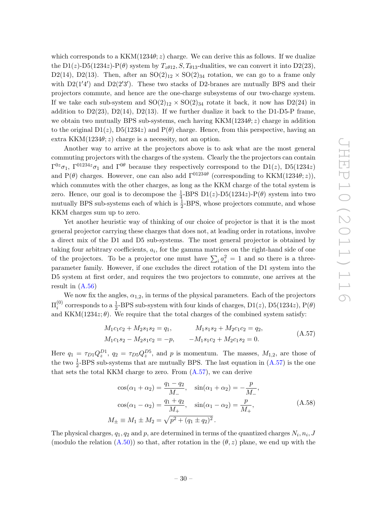which corresponds to a  $KKM(1234\theta; z)$  charge. We can derive this as follows. If we dualize the D1(z)-D5(1234z)-P( $\theta$ ) system by  $T_{z\theta12}$ , S,  $T_{\theta13}$ -dualities, we can convert it into D2(23), D2(14), D2(13). Then, after an  $SO(2)_{12} \times SO(2)_{34}$  rotation, we can go to a frame only with  $D2(1'4')$  and  $D2(2'3')$ . These two stacks of D2-branes are mutually BPS and their projectors commute, and hence are the one-charge subsystems of our two-charge system. If we take each sub-system and  $SO(2)_{12} \times SO(2)_{34}$  rotate it back, it now has  $D2(24)$  in addition to  $D2(23)$ ,  $D2(14)$ ,  $D2(13)$ . If we further dualize it back to the D1-D5-P frame, we obtain two mutually BPS sub-systems, each having  $KKM(1234\theta; z)$  charge in addition to the original  $D_1(z)$ ,  $D_5(1234z)$  and  $P(\theta)$  charge. Hence, from this perspective, having an extra KKM(1234 $\theta$ ; z) charge is a necessity, not an option.

Another way to arrive at the projectors above is to ask what are the most general commuting projectors with the charges of the system. Clearly the the projectors can contain  $\Gamma^{0z}\sigma_1$ ,  $\Gamma^{01234z}\sigma_1$  and  $\Gamma^{0\theta}$  because they respectively correspond to the D1(*z*), D5(1234*z*) and  $P(\theta)$  charges. However, one can also add  $\Gamma^{01234\theta}$  (corresponding to KKM(1234 $\theta$ ; z)), which commutes with the other charges, as long as the KKM charge of the total system is zero. Hence, our goal is to decompose the  $\frac{1}{4}$ -BPS D1(*z*)-D5(1234*z*)-P( $\theta$ ) system into two mutually BPS sub-systems each of which is  $\frac{1}{2}$ -BPS, whose projectors commute, and whose KKM charges sum up to zero.

Yet another heuristic way of thinking of our choice of projector is that it is the most general projector carrying these charges that does not, at leading order in rotations, involve a direct mix of the D1 and D5 sub-systems. The most general projector is obtained by taking four arbitrary coefficients,  $a_i$ , for the gamma matrices on the right-hand side of one of the projectors. To be a projector one must have  $\sum_i a_i^2 = 1$  and so there is a threeparameter family. However, if one excludes the direct rotation of the D1 system into the D5 system at first order, and requires the two projectors to commute, one arrives at the result in  $(A.56)$ 

We now fix the angles,  $\alpha_{1,2}$ , in terms of the physical parameters. Each of the projectors  $\Pi_i^{(0)}$  $i_{i}^{(0)}$  corresponds to a  $\frac{1}{2}$ -BPS sub-system with four kinds of charges, D1(*z*), D5(1234*z*), P( $\theta$ ) and KKM(1234 $z$ ;  $\theta$ ). We require that the total charges of the combined system satisfy:

<span id="page-31-0"></span>
$$
M_1c_1c_2 + M_2s_1s_2 = q_1, \t M_1s_1s_2 + M_2c_1c_2 = q_2,M_1c_1s_2 - M_2s_1c_2 = -p, \t -M_1s_1c_2 + M_2c_1s_2 = 0.
$$
\t(A.57)

Here  $q_1 = \tau_{D1} Q_z^{D1}$ ,  $q_2 = \tau_{D5} Q_z^{D5}$ , and p is momentum. The masses,  $M_{1,2}$ , are those of the two  $\frac{1}{2}$ -BPS sub-systems that are mutually BPS. The last equation in  $(A.57)$  is the one that sets the total KKM charge to zero. From [\(A.57\)](#page-31-0), we can derive

<span id="page-31-1"></span>
$$
\cos(\alpha_1 + \alpha_2) = \frac{q_1 - q_2}{M_-}, \quad \sin(\alpha_1 + \alpha_2) = -\frac{p}{M_-},
$$
  
\n
$$
\cos(\alpha_1 - \alpha_2) = \frac{q_1 + q_2}{M_+}, \quad \sin(\alpha_1 - \alpha_2) = \frac{p}{M_+},
$$
  
\n
$$
M_{\pm} \equiv M_1 \pm M_2 = \sqrt{p^2 + (q_1 \pm q_2)^2}.
$$
\n(A.58)

The physical charges,  $q_1, q_2$  and p, are determined in terms of the quantized charges  $N_i, n_i, J$ (modulo the relation  $(A.50)$ ) so that, after rotation in the  $(\theta, z)$  plane, we end up with the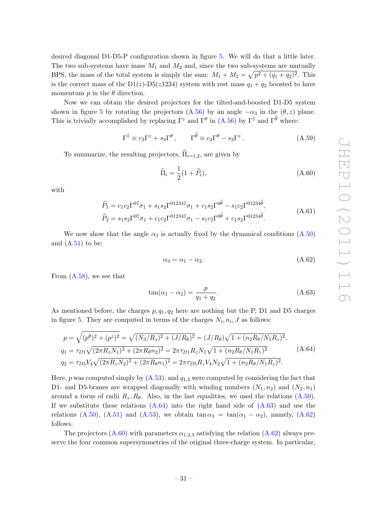desired diagonal D1-D5-P configuration shown in figure [5.](#page-29-0) We will do that a little later. The two sub-systems have mass  $M_1$  and  $M_2$  and, since the two sub-systems are mutually BPS, the mass of the total system is simply the sum:  $M_1 + M_2 = \sqrt{p^2 + (q_1 + q_2)^2}$ . This is the correct mass of the D1(z)-D5(z1234) system with rest mass  $q_1 + q_2$  boosted to have momentum  $p$  in the  $\theta$  direction.

Now we can obtain the desired projectors for the tilted-and-boosted D1-D5 system shown in figure [5](#page-29-0) by rotating the projectors [\(A.56\)](#page-30-2) by an angle  $-\alpha_3$  in the  $(\theta, z)$  plane. This is trivially accomplished by replacing  $\Gamma^z$  and  $\Gamma^{\theta}$  in  $(A.56)$  by  $\Gamma^{\hat{z}}$  and  $\Gamma^{\theta}$  where:

$$
\Gamma^{\hat{z}} \equiv c_3 \Gamma^z + s_3 \Gamma^{\theta} , \qquad \Gamma^{\hat{\theta}} \equiv c_3 \Gamma^{\theta} - s_3 \Gamma^z . \tag{A.59}
$$

To summarize, the resulting projectors,  $\widehat{\Pi}_{i=1,2}$ , are given by

<span id="page-32-3"></span>
$$
\widehat{\Pi}_i = \frac{1}{2}(1 + \widehat{P}_i),\tag{A.60}
$$

with

$$
\widehat{P}_1 = c_1 c_2 \Gamma^{0\hat{z}} \sigma_1 + s_1 s_2 \Gamma^{01234\hat{z}} \sigma_1 + c_1 s_2 \Gamma^{0\hat{\theta}} - s_1 c_2 \Gamma^{01234\hat{\theta}}, \n\widehat{P}_2 = s_1 s_2 \Gamma^{0\hat{z}} \sigma_1 + c_1 c_2 \Gamma^{01234\hat{z}} \sigma_1 - s_1 c_2 \Gamma^{0\hat{\theta}} + c_1 s_2 \Gamma^{01234\hat{\theta}}.
$$
\n(A.61)

We now show that the angle  $\alpha_3$  is actually fixed by the dynamical conditions [\(A.50\)](#page-28-3) and  $(A.51)$  to be:

<span id="page-32-2"></span><span id="page-32-1"></span><span id="page-32-0"></span>
$$
\alpha_3 = \alpha_1 - \alpha_2. \tag{A.62}
$$

From  $(A.58)$ , we see that

$$
\tan(\alpha_1 - \alpha_2) = \frac{p}{q_1 + q_2}.\tag{A.63}
$$

As mentioned before, the charges  $p, q_1, q_2$  here are nothing but the P, D1 and D5 charges in figure [5.](#page-29-0) They are computed in terms of the charges  $N_i$ ,  $n_i$ ,  $J$  as follows:

$$
p = \sqrt{(p^{\theta})^2 + (p^z)^2} = \sqrt{(N_3/R_z)^2 + (J/R_{\theta})^2} = (J/R_{\theta})\sqrt{1 + (n_2R_{\theta}/N_1R_z)^2},
$$
  
\n
$$
q_1 = \tau_{D1}\sqrt{(2\pi R_zN_1)^2 + (2\pi R_{\theta}n_2)^2} = 2\pi\tau_{D1}R_zN_1\sqrt{1 + (n_2R_{\theta}/N_1R_z)^2}
$$
  
\n
$$
q_2 = \tau_{D5}V_4\sqrt{(2\pi R_zN_2)^2 + (2\pi R_{\theta}n_1)^2} = 2\pi\tau_{D5}R_zV_4N_2\sqrt{1 + (n_2R_{\theta}/N_1R_z)^2}.
$$
\n(A.64)

Here, p was computed simply by  $(A.53)$ , and  $q_{1,2}$  were computed by considering the fact that D1- and D5-branes are wrapped diagonally with winding numbers  $(N_1, n_2)$  and  $(N_2, n_1)$ around a torus of radii  $R_z, R_\theta$ . Also, in the last equalities, we used the relations [\(A.50\)](#page-28-3). If we substitute these relations  $(A.64)$  into the right hand side of  $(A.63)$  and use the relations [\(A.50\)](#page-28-3), [\(A.51\)](#page-29-1) and [\(A.53\)](#page-29-2), we obtain  $\tan \alpha_3 = \tan(\alpha_1 - \alpha_2)$ , namely, [\(A.62\)](#page-32-2) follows.

The projectors  $(A.60)$  with parameters  $\alpha_{1,2,3}$  satisfying the relation  $(A.62)$  always preserve the four common supersymmetries of the original three-charge system. In particular,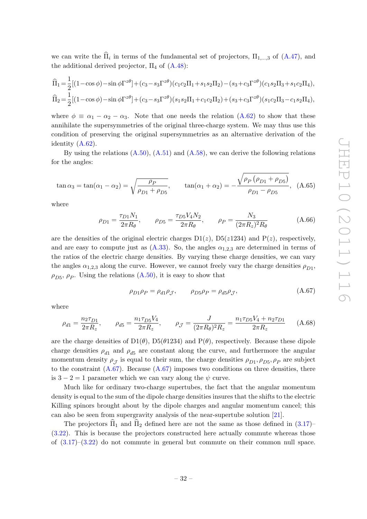we can write the  $\Pi_i$  in terms of the fundamental set of projectors,  $\Pi_{1,\dots,3}$  of  $(A.47)$ , and the additional derived projector,  $\Pi_4$  of  $(A.48)$ :

$$
\begin{split} &\widehat{\Pi}_1\!=\!\frac{1}{2}[(1\!-\!\cos\phi)\!-\!\sin\phi\Gamma^{z\theta}]+(c_3\!-\!s_3\Gamma^{z\theta})(c_1c_2\Pi_1\!+\!s_1s_2\Pi_2)\!-\!(s_3\!+\!c_3\Gamma^{z\theta})(c_1s_2\Pi_3\!+\!s_1c_2\Pi_4),\\ &\widehat{\Pi}_2\!=\!\frac{1}{2}[(1\!-\!\cos\phi)\!-\!\sin\phi\Gamma^{z\theta}]+(c_3\!-\!s_3\Gamma^{z\theta})(s_1s_2\Pi_1\!+\!c_1c_2\Pi_2)\!+\!(s_3\!+\!c_3\Gamma^{z\theta})(s_1c_2\Pi_3\!-\!c_1s_2\Pi_4), \end{split}
$$

where  $\phi \equiv \alpha_1 - \alpha_2 - \alpha_3$ . Note that one needs the relation [\(A.62\)](#page-32-2) to show that these annihilate the supersymmetries of the original three-charge system. We may thus use this condition of preserving the original supersymmetries as an alternative derivation of the identity  $(A.62)$ .

By using the relations  $(A.50)$ ,  $(A.51)$  and  $(A.58)$ , we can derive the following relations for the angles:

$$
\tan \alpha_3 = \tan(\alpha_1 - \alpha_2) = \sqrt{\frac{\rho_P}{\rho_{D1} + \rho_{D5}}}, \qquad \tan(\alpha_1 + \alpha_2) = -\frac{\sqrt{\rho_P (\rho_{D1} + \rho_{D5})}}{\rho_{D1} - \rho_{D5}}, \quad (A.65)
$$

where

$$
\rho_{D1} = \frac{\tau_{D1} N_1}{2\pi R_\theta}, \qquad \rho_{D5} = \frac{\tau_{D5} V_4 N_2}{2\pi R_\theta}, \qquad \rho_P = \frac{N_3}{(2\pi R_z)^2 R_\theta} \tag{A.66}
$$

are the densities of the original electric charges  $D_1(z)$ ,  $D_5(z1234)$  and  $P(z)$ , respectively, and are easy to compute just as  $(A.33)$ . So, the angles  $\alpha_{1,2,3}$  are determined in terms of the ratios of the electric charge densities. By varying these charge densities, we can vary the angles  $\alpha_{1,2,3}$  along the curve. However, we cannot freely vary the charge densities  $\rho_{D1}$ ,  $\rho_{D5}, \rho_P$ . Using the relations  $(A.50)$ , it is easy to show that

<span id="page-33-1"></span><span id="page-33-0"></span>
$$
\rho_{D1}\rho_P = \rho_{d1}\rho_{\mathcal{J}}, \qquad \rho_{D5}\rho_P = \rho_{d5}\rho_{\mathcal{J}}, \tag{A.67}
$$

where

$$
\rho_{d1} = \frac{n_2 \tau_{D1}}{2\pi R_z}, \qquad \rho_{d5} = \frac{n_1 \tau_{D5} V_4}{2\pi R_z}, \qquad \rho_{\mathcal{J}} = \frac{J}{(2\pi R_\theta)^2 R_z} = \frac{n_1 \tau_{D5} V_4 + n_2 \tau_{D1}}{2\pi R_z} \tag{A.68}
$$

are the charge densities of  $D1(\theta)$ ,  $D5(\theta1234)$  and  $P(\theta)$ , respectively. Because these dipole charge densities  $\rho_{d1}$  and  $\rho_{d5}$  are constant along the curve, and furthermore the angular momentum density  $\rho_{\mathcal{J}}$  is equal to their sum, the charge densities  $\rho_{D1}, \rho_{D5}, \rho_P$  are subject to the constraint  $(A.67)$ . Because  $(A.67)$  imposes two conditions on three densities, there is  $3 - 2 = 1$  parameter which we can vary along the  $\psi$  curve.

Much like for ordinary two-charge supertubes, the fact that the angular momentum density is equal to the sum of the dipole charge densities insures that the shifts to the electric Killing spinors brought about by the dipole charges and angular momentum cancel; this can also be seen from supergravity analysis of the near-supertube solution [\[21\]](#page-37-2).

The projectors  $\Pi_1$  and  $\Pi_2$  defined here are not the same as those defined in [\(3.17\)](#page-13-5)– [\(3.22\)](#page-13-6). This is because the projectors constructed here actually commute whereas those of  $(3.17)$ – $(3.22)$  do not commute in general but commute on their common null space.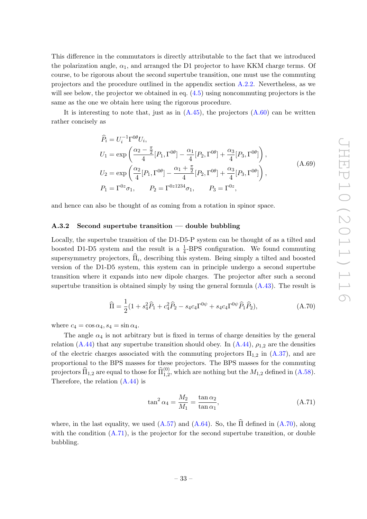This difference in the commutators is directly attributable to the fact that we introduced the polarization angle,  $\alpha_1$ , and arranged the D1 projector to have KKM charge terms. Of course, to be rigorous about the second supertube transition, one must use the commuting projectors and the procedure outlined in the appendix section [A.2.2.](#page-26-0) Nevertheless, as we will see below, the projector we obtained in eq.  $(4.5)$  using noncommuting projectors is the same as the one we obtain here using the rigorous procedure.

It is interesting to note that, just as in  $(A.45)$ , the projectors  $(A.60)$  can be written rather concisely as

$$
\begin{split}\n\widehat{P}_{i} &= U_{i}^{-1} \Gamma^{0\theta} U_{i}, \\
U_{1} &= \exp\left(\frac{\alpha_{2} - \frac{\pi}{2}}{4} [P_{1}, \Gamma^{0\theta}] - \frac{\alpha_{1}}{4} [P_{2}, \Gamma^{0\theta}] + \frac{\alpha_{3}}{4} [P_{3}, \Gamma^{0\theta}] \right), \\
U_{2} &= \exp\left(\frac{\alpha_{2}}{4} [P_{1}, \Gamma^{0\theta}] - \frac{\alpha_{1} + \frac{\pi}{2}}{4} [P_{2}, \Gamma^{0\theta}] + \frac{\alpha_{3}}{4} [P_{3}, \Gamma^{0\theta}] \right), \\
P_{1} &= \Gamma^{0z} \sigma_{1}, \qquad P_{2} = \Gamma^{0z 1234} \sigma_{1}, \qquad P_{3} = \Gamma^{0z},\n\end{split} \tag{A.69}
$$

and hence can also be thought of as coming from a rotation in spinor space.

## <span id="page-34-0"></span> $A.3.2$  Second supertube transition — double bubbling

Locally, the supertube transition of the D1-D5-P system can be thought of as a tilted and boosted D1-D5 system and the result is a  $\frac{1}{4}$ -BPS configuration. We found commuting supersymmetry projectors,  $\Pi_i$ , describing this system. Being simply a tilted and boosted version of the D1-D5 system, this system can in principle undergo a second supertube transition where it expands into new dipole charges. The projector after such a second supertube transition is obtained simply by using the general formula  $(A.43)$ . The result is

$$
\widehat{\Pi} = \frac{1}{2} (1 + s_4^2 \widehat{P}_1 + c_4^2 \widehat{P}_2 - s_4 c_4 \Gamma^{0\psi} + s_4 c_4 \Gamma^{0\psi} \widehat{P}_1 \widehat{P}_2),
$$
\n(A.70)

where  $c_4 = \cos \alpha_4$ ,  $s_4 = \sin \alpha_4$ .

The angle  $\alpha_4$  is not arbitrary but is fixed in terms of charge densities by the general relation [\(A.44\)](#page-27-2) that any supertube transition should obey. In  $(A.44)$ ,  $\rho_{1,2}$  are the densities of the electric charges associated with the commuting projectors  $\Pi_{1,2}$  in  $(A.37)$ , and are proportional to the BPS masses for these projectors. The BPS masses for the commuting projectors  $\widehat{\Pi}_{1,2}$  are equal to those for  $\widehat{\Pi}_{1,2}^{(0)}$ , which are nothing but the  $M_{1,2}$  defined in  $(A.58)$ . Therefore, the relation [\(A.44\)](#page-27-2) is

<span id="page-34-2"></span><span id="page-34-1"></span>
$$
\tan^2 \alpha_4 = \frac{M_2}{M_1} = \frac{\tan \alpha_2}{\tan \alpha_1},\tag{A.71}
$$

where, in the last equality, we used  $(A.57)$  and  $(A.64)$ . So, the  $\widehat{\Pi}$  defined in  $(A.70)$  $(A.70)$ , along with the condition  $(A.71)$ , is the projector for the second supertube transition, or double bubbling.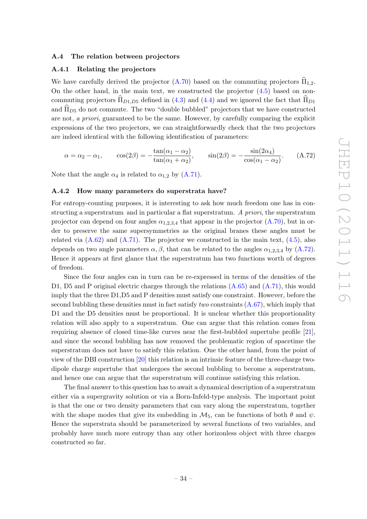### <span id="page-35-0"></span>A.4 The relation between projectors

#### <span id="page-35-1"></span>A.4.1 Relating the projectors

We have carefully derived the projector  $(A.70)$  based on the commuting projectors  $\hat{\Pi}_{1,2}$ . On the other hand, in the main text, we constructed the projector [\(4.5\)](#page-15-1) based on noncommuting projectors  $\widehat{\Pi}_{D1,D5}$  defined in [\(4.3\)](#page-14-3) and [\(4.4\)](#page-14-3) and we ignored the fact that  $\widehat{\Pi}_{D1}$ and  $\hat{\Pi}_{D5}$  do not commute. The two "double bubbled" projectors that we have constructed are not, a priori, guaranteed to be the same. However, by carefully comparing the explicit expressions of the two projectors, we can straightforwardly check that the two projectors are indeed identical with the following identification of parameters:

<span id="page-35-3"></span>
$$
\alpha = \alpha_2 - \alpha_1, \qquad \cos(2\beta) = -\frac{\tan(\alpha_1 - \alpha_2)}{\tan(\alpha_1 + \alpha_2)}, \qquad \sin(2\beta) = -\frac{\sin(2\alpha_4)}{\cos(\alpha_1 - \alpha_2)}.\tag{A.72}
$$

Note that the angle  $\alpha_4$  is related to  $\alpha_{1,2}$  by [\(A.71\)](#page-34-2).

#### <span id="page-35-2"></span>A.4.2 How many parameters do superstrata have?

For entropy-counting purposes, it is interesting to ask how much freedom one has in constructing a superstratum and in particular a flat superstratum. A priori, the superstratum projector can depend on four angles  $\alpha_{1,2,3,4}$  that appear in the projector [\(A.70\)](#page-34-1), but in order to preserve the same supersymmetries as the original branes these angles must be related via  $(A.62)$  and  $(A.71)$ . The projector we constructed in the main text,  $(4.5)$ , also depends on two angle parameters  $\alpha$ ,  $\beta$ , that can be related to the angles  $\alpha_{1,2,3,4}$  by [\(A.72\)](#page-35-3). Hence it appears at first glance that the superstratum has two functions worth of degrees of freedom.

Since the four angles can in turn can be re-expressed in terms of the densities of the D1, D5 and P original electric charges through the relations  $(A.65)$  and  $(A.71)$ , this would imply that the three D1,D5 and P densities must satisfy one constraint. However, before the second bubbling these densities must in fact satisfy *two* constraints  $(A.67)$ , which imply that D1 and the D5 densities must be proportional. It is unclear whether this proportionality relation will also apply to a superstratum. One can argue that this relation comes from requiring absence of closed time-like curves near the first-bubbled supertube profile [\[21\]](#page-37-2), and since the second bubbling has now removed the problematic region of spacetime the superstratum does not have to satisfy this relation. One the other hand, from the point of view of the DBI construction [\[20\]](#page-37-1) this relation is an intrinsic feature of the three-charge twodipole charge supertube that undergoes the second bubbling to become a superstratum, and hence one can argue that the superstratum will continue satisfying this relation.

The final answer to this question has to await a dynamical description of a superstratum either via a supergravity solution or via a Born-Infeld-type analysis. The important point is that the one or two density parameters that can vary along the superstratum, together with the shape modes that give its embedding in  $\mathcal{M}_5$ , can be functions of both  $\theta$  and  $\psi$ . Hence the superstrata should be parameterized by several functions of two variables, and probably have much more entropy than any other horizonless object with three charges constructed so far.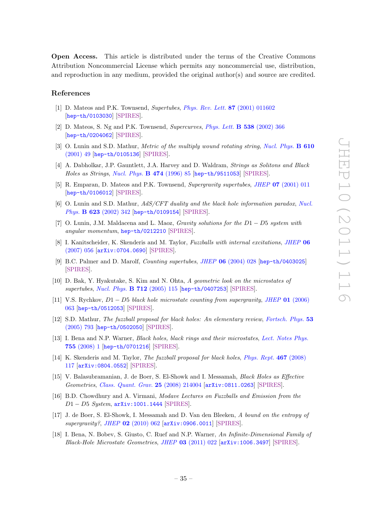Open Access. This article is distributed under the terms of the Creative Commons Attribution Noncommercial License which permits any noncommercial use, distribution, and reproduction in any medium, provided the original author(s) and source are credited.

## References

- <span id="page-36-0"></span>[1] D. Mateos and P.K. Townsend, Supertubes, [Phys. Rev. Lett.](http://dx.doi.org/10.1103/PhysRevLett.87.011602) 87 (2001) 011602 [[hep-th/0103030](http://arxiv.org/abs/hep-th/0103030)] [\[SPIRES\]](http://www-spires.slac.stanford.edu/spires/find/hep/www?eprint=HEP-TH/0103030).
- <span id="page-36-1"></span>[2] D. Mateos, S. Ng and P.K. Townsend, Supercurves, [Phys. Lett.](http://dx.doi.org/10.1016/S0370-2693(02)01997-4) B 538 (2002) 366 [[hep-th/0204062](http://arxiv.org/abs/hep-th/0204062)] [\[SPIRES\]](http://www-spires.slac.stanford.edu/spires/find/hep/www?eprint=HEP-TH/0204062).
- <span id="page-36-2"></span>[3] O. Lunin and S.D. Mathur, *Metric of the multiply wound rotating string, [Nucl. Phys.](http://dx.doi.org/10.1016/S0550-3213(01)00321-2)* **B 610** [\(2001\) 49](http://dx.doi.org/10.1016/S0550-3213(01)00321-2) [[hep-th/0105136](http://arxiv.org/abs/hep-th/0105136)] [\[SPIRES\]](http://www-spires.slac.stanford.edu/spires/find/hep/www?eprint=HEP-TH/0105136).
- <span id="page-36-3"></span>[4] A. Dabholkar, J.P. Gauntlett, J.A. Harvey and D. Waldram, Strings as Solitons and Black Holes as Strings, [Nucl. Phys.](http://dx.doi.org/10.1016/0550-3213(96)00266-0) B 474 (1996) 85 [[hep-th/9511053](http://arxiv.org/abs/hep-th/9511053)] [\[SPIRES\]](http://www-spires.slac.stanford.edu/spires/find/hep/www?eprint=HEP-TH/9511053).
- <span id="page-36-4"></span>[5] R. Emparan, D. Mateos and P.K. Townsend, Supergravity supertubes, JHEP 07 [\(2001\) 011](http://dx.doi.org/10.1088/1126-6708/2001/07/011) [[hep-th/0106012](http://arxiv.org/abs/hep-th/0106012)] [\[SPIRES\]](http://www-spires.slac.stanford.edu/spires/find/hep/www?eprint=HEP-TH/0106012).
- <span id="page-36-6"></span>[6] O. Lunin and S.D. Mathur, AdS/CFT duality and the black hole information paradox, [Nucl.](http://dx.doi.org/10.1016/S0550-3213(01)00620-4) Phys. B 623 [\(2002\) 342](http://dx.doi.org/10.1016/S0550-3213(01)00620-4) [[hep-th/0109154](http://arxiv.org/abs/hep-th/0109154)] [\[SPIRES\]](http://www-spires.slac.stanford.edu/spires/find/hep/www?eprint=HEP-TH/0109154).
- <span id="page-36-13"></span>[7] O. Lunin, J.M. Maldacena and L. Maoz, Gravity solutions for the  $D1 - D5$  system with angular momentum, [hep-th/0212210](http://arxiv.org/abs/hep-th/0212210) [\[SPIRES\]](http://www-spires.slac.stanford.edu/spires/find/hep/www?eprint=HEP-TH/0212210).
- <span id="page-36-5"></span>[8] I. Kanitscheider, K. Skenderis and M. Taylor, *Fuzzballs with internal excitations*, *[JHEP](http://dx.doi.org/10.1088/1126-6708/2007/06/056)* 06 [\(2007\) 056](http://dx.doi.org/10.1088/1126-6708/2007/06/056) [[arXiv:0704.0690](http://arxiv.org/abs/0704.0690)] [\[SPIRES\]](http://www-spires.slac.stanford.edu/spires/find/hep/www?eprint=0704.0690).
- <span id="page-36-7"></span>[9] B.C. Palmer and D. Marolf, Counting supertubes, JHEP 06 [\(2004\) 028](http://dx.doi.org/10.1088/1126-6708/2004/06/028) [[hep-th/0403025](http://arxiv.org/abs/hep-th/0403025)] [\[SPIRES\]](http://www-spires.slac.stanford.edu/spires/find/hep/www?eprint=HEP-TH/0403025).
- [10] D. Bak, Y. Hyakutake, S. Kim and N. Ohta, A geometric look on the microstates of supertubes, [Nucl. Phys.](http://dx.doi.org/10.1016/j.nuclphysb.2005.01.042) B 712 (2005) 115 [[hep-th/0407253](http://arxiv.org/abs/hep-th/0407253)] [\[SPIRES\]](http://www-spires.slac.stanford.edu/spires/find/hep/www?eprint=HEP-TH/0407253).
- <span id="page-36-8"></span>[11] V.S. Rychkov,  $D1 - D5$  black hole microstate counting from supergravity, JHEP 01 [\(2006\)](http://dx.doi.org/10.1088/1126-6708/2006/01/063) [063](http://dx.doi.org/10.1088/1126-6708/2006/01/063) [[hep-th/0512053](http://arxiv.org/abs/hep-th/0512053)] [\[SPIRES\]](http://www-spires.slac.stanford.edu/spires/find/hep/www?eprint=HEP-TH/0512053).
- <span id="page-36-9"></span>[12] S.D. Mathur, The fuzzball proposal for black holes: An elementary review, [Fortsch. Phys.](http://dx.doi.org/10.1002/prop.200410203) 53 [\(2005\) 793](http://dx.doi.org/10.1002/prop.200410203) [[hep-th/0502050](http://arxiv.org/abs/hep-th/0502050)] [\[SPIRES\]](http://www-spires.slac.stanford.edu/spires/find/hep/www?eprint=HEP-TH/0502050).
- [13] I. Bena and N.P. Warner, Black holes, black rings and their microstates, [Lect. Notes Phys.](http://dx.doi.org/10.1007/978-3-540-79523-0) 755 [\(2008\) 1](http://dx.doi.org/10.1007/978-3-540-79523-0) [[hep-th/0701216](http://arxiv.org/abs/hep-th/0701216)] [\[SPIRES\]](http://www-spires.slac.stanford.edu/spires/find/hep/www?eprint=HEP-TH/0701216).
- [14] K. Skenderis and M. Taylor, The fuzzball proposal for black holes, [Phys. Rept.](http://dx.doi.org/10.1016/j.physrep.2008.08.001) 467 (2008) [117](http://dx.doi.org/10.1016/j.physrep.2008.08.001) [[arXiv:0804.0552](http://arxiv.org/abs/0804.0552)] [\[SPIRES\]](http://www-spires.slac.stanford.edu/spires/find/hep/www?eprint=0804.0552).
- [15] V. Balasubramanian, J. de Boer, S. El-Showk and I. Messamah, Black Holes as Effective Geometries, [Class. Quant. Grav.](http://dx.doi.org/10.1088/0264-9381/25/21/214004) 25 (2008) 214004 [[arXiv:0811.0263](http://arxiv.org/abs/0811.0263)] [\[SPIRES\]](http://www-spires.slac.stanford.edu/spires/find/hep/www?eprint=0811.0263).
- <span id="page-36-10"></span>[16] B.D. Chowdhury and A. Virmani, Modave Lectures on Fuzzballs and Emission from the D1 − D5 System, [arXiv:1001.1444](http://arxiv.org/abs/1001.1444) [\[SPIRES\]](http://www-spires.slac.stanford.edu/spires/find/hep/www?eprint=1001.1444).
- <span id="page-36-11"></span>[17] J. de Boer, S. El-Showk, I. Messamah and D. Van den Bleeken, A bound on the entropy of supergravity?, JHEP 02 [\(2010\) 062](http://dx.doi.org/10.1007/JHEP02(2010)062) [[arXiv:0906.0011](http://arxiv.org/abs/0906.0011)] [\[SPIRES\]](http://www-spires.slac.stanford.edu/spires/find/hep/www?eprint=0906.0011).
- <span id="page-36-12"></span>[18] I. Bena, N. Bobev, S. Giusto, C. Ruef and N.P. Warner, An Infinite-Dimensional Family of Black-Hole Microstate Geometries, JHEP 03 [\(2011\) 022](http://dx.doi.org/10.1007/JHEP03(2011)022) [[arXiv:1006.3497](http://arxiv.org/abs/1006.3497)] [\[SPIRES\]](http://www-spires.slac.stanford.edu/spires/find/hep/www?eprint=1006.3497).